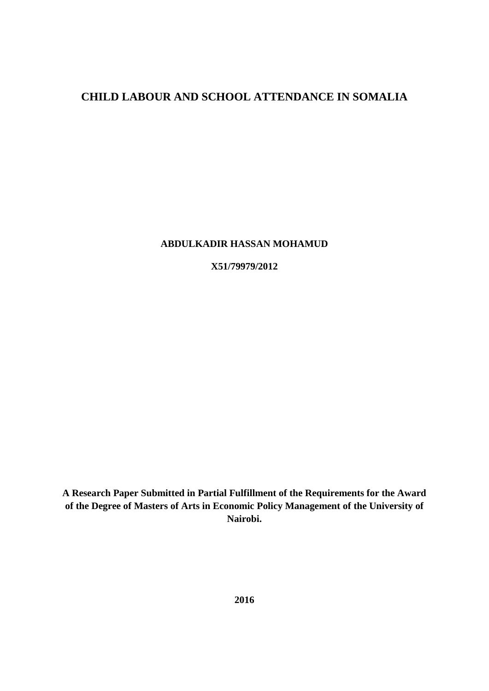# **CHILD LABOUR AND SCHOOL ATTENDANCE IN SOMALIA**

#### **ABDULKADIR HASSAN MOHAMUD**

**X51/79979/2012**

**A Research Paper Submitted in Partial Fulfillment of the Requirements for the Award of the Degree of Masters of Arts in Economic Policy Management of the University of Nairobi.**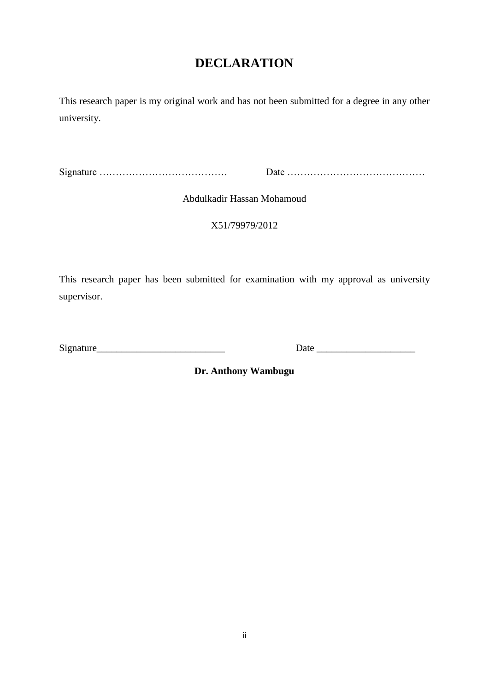# **DECLARATION**

<span id="page-1-0"></span>This research paper is my original work and has not been submitted for a degree in any other university.

Signature ………………………………… Date ……………………………………

Abdulkadir Hassan Mohamoud

X51/79979/2012

This research paper has been submitted for examination with my approval as university supervisor.

Signature\_\_\_\_\_\_\_\_\_\_\_\_\_\_\_\_\_\_\_\_\_\_\_\_\_\_ Date \_\_\_\_\_\_\_\_\_\_\_\_\_\_\_\_\_\_\_\_

**Dr. Anthony Wambugu**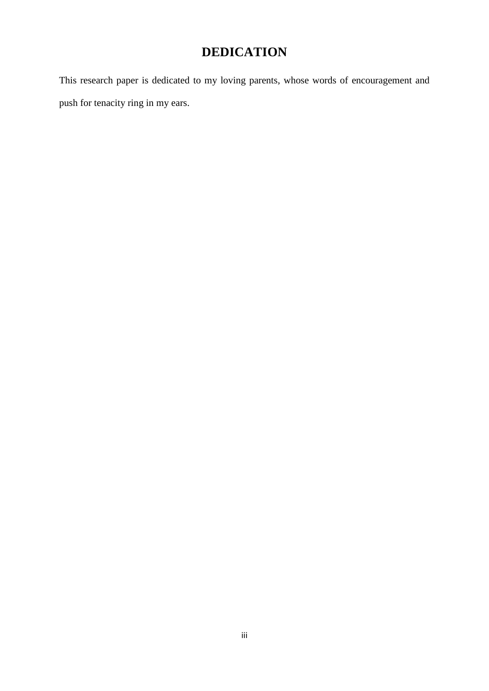# **DEDICATION**

<span id="page-2-0"></span>This research paper is dedicated to my loving parents, whose words of encouragement and push for tenacity ring in my ears.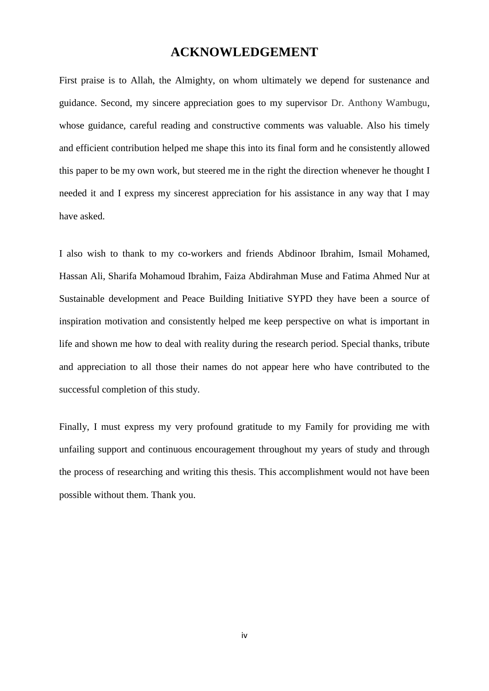## **ACKNOWLEDGEMENT**

<span id="page-3-0"></span>First praise is to Allah, the Almighty, on whom ultimately we depend for sustenance and guidance. Second, my sincere appreciation goes to my supervisor Dr. Anthony Wambugu, whose guidance, careful reading and constructive comments was valuable. Also his timely and efficient contribution helped me shape this into its final form and he consistently allowed this paper to be my own work, but steered me in the right the direction whenever he thought I needed it and I express my sincerest appreciation for his assistance in any way that I may have asked.

I also wish to thank to my co-workers and friends Abdinoor Ibrahim, Ismail Mohamed, Hassan Ali, Sharifa Mohamoud Ibrahim, Faiza Abdirahman Muse and Fatima Ahmed Nur at Sustainable development and Peace Building Initiative SYPD they have been a source of inspiration motivation and consistently helped me keep perspective on what is important in life and shown me how to deal with reality during the research period. Special thanks, tribute and appreciation to all those their names do not appear here who have contributed to the successful completion of this study.

Finally, I must express my very profound gratitude to my Family for providing me with unfailing support and continuous encouragement throughout my years of study and through the process of researching and writing this thesis. This accomplishment would not have been possible without them. Thank you.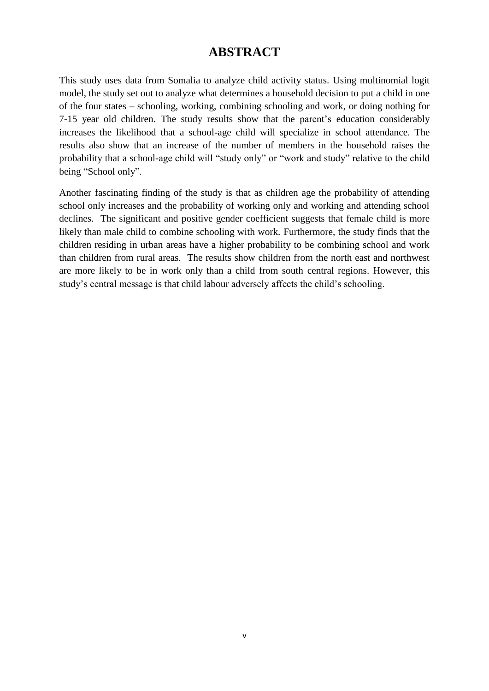# **ABSTRACT**

<span id="page-4-0"></span>This study uses data from Somalia to analyze child activity status. Using multinomial logit model, the study set out to analyze what determines a household decision to put a child in one of the four states – schooling, working, combining schooling and work, or doing nothing for 7-15 year old children. The study results show that the parent's education considerably increases the likelihood that a school-age child will specialize in school attendance. The results also show that an increase of the number of members in the household raises the probability that a school-age child will "study only" or "work and study" relative to the child being "School only".

Another fascinating finding of the study is that as children age the probability of attending school only increases and the probability of working only and working and attending school declines. The significant and positive gender coefficient suggests that female child is more likely than male child to combine schooling with work. Furthermore, the study finds that the children residing in urban areas have a higher probability to be combining school and work than children from rural areas. The results show children from the north east and northwest are more likely to be in work only than a child from south central regions. However, this study's central message is that child labour adversely affects the child's schooling.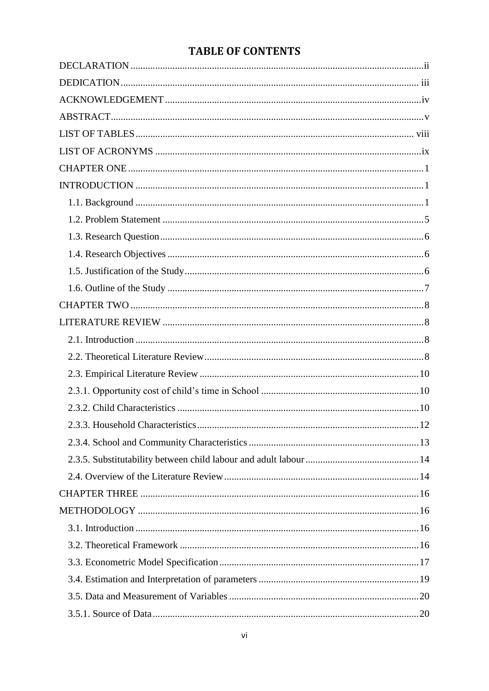# **TABLE OF CONTENTS**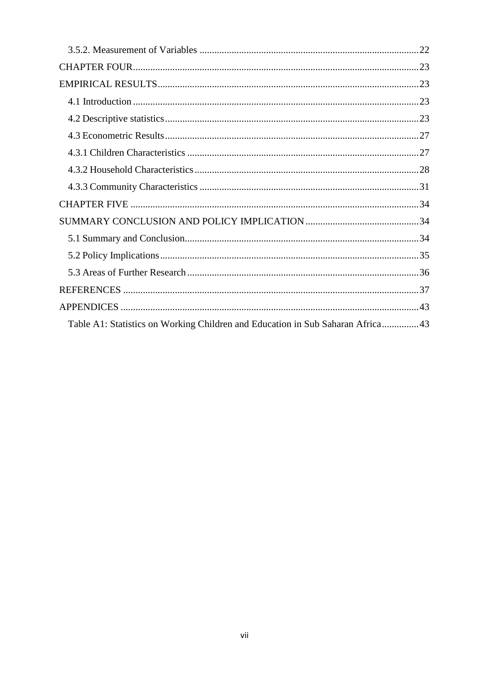| Table A1: Statistics on Working Children and Education in Sub Saharan Africa43 |  |
|--------------------------------------------------------------------------------|--|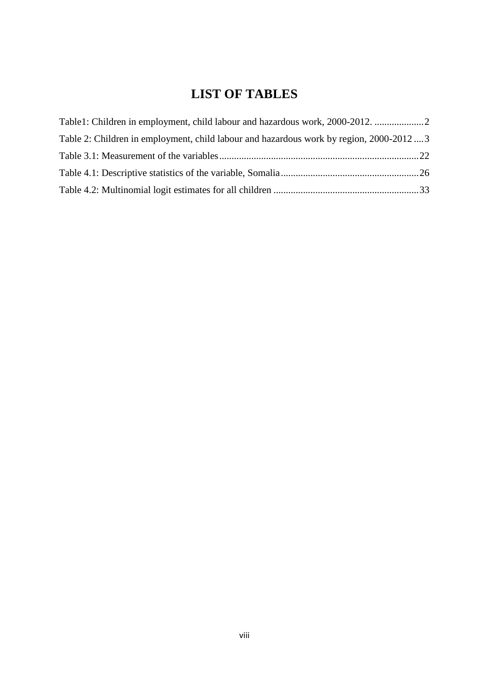# **LIST OF TABLES**

<span id="page-7-0"></span>

| Table1: Children in employment, child labour and hazardous work, 2000-2012.             |  |
|-----------------------------------------------------------------------------------------|--|
| Table 2: Children in employment, child labour and hazardous work by region, 2000-2012 3 |  |
|                                                                                         |  |
|                                                                                         |  |
|                                                                                         |  |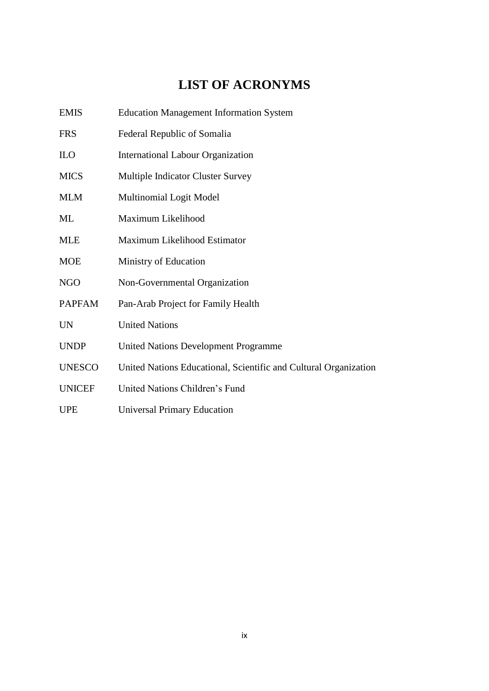# **LIST OF ACRONYMS**

<span id="page-8-0"></span>

| <b>EMIS</b>   | <b>Education Management Information System</b>                   |
|---------------|------------------------------------------------------------------|
| <b>FRS</b>    | Federal Republic of Somalia                                      |
| ILO           | <b>International Labour Organization</b>                         |
| <b>MICS</b>   | <b>Multiple Indicator Cluster Survey</b>                         |
| <b>MLM</b>    | <b>Multinomial Logit Model</b>                                   |
| ML            | Maximum Likelihood                                               |
| <b>MLE</b>    | Maximum Likelihood Estimator                                     |
| <b>MOE</b>    | Ministry of Education                                            |
| <b>NGO</b>    | Non-Governmental Organization                                    |
| <b>PAPFAM</b> | Pan-Arab Project for Family Health                               |
| <b>UN</b>     | <b>United Nations</b>                                            |
| <b>UNDP</b>   | <b>United Nations Development Programme</b>                      |
| <b>UNESCO</b> | United Nations Educational, Scientific and Cultural Organization |
| <b>UNICEF</b> | United Nations Children's Fund                                   |
| <b>UPE</b>    | <b>Universal Primary Education</b>                               |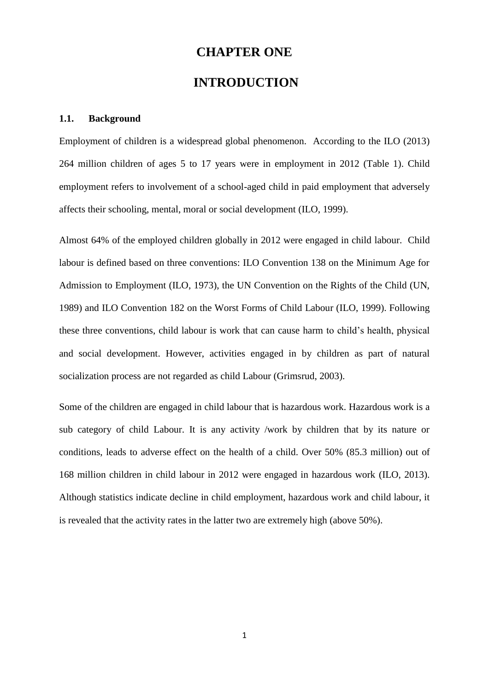# **CHAPTER ONE**

# <span id="page-9-1"></span>**INTRODUCTION**

#### <span id="page-9-2"></span><span id="page-9-0"></span>**1.1. Background**

Employment of children is a widespread global phenomenon. According to the ILO (2013) 264 million children of ages 5 to 17 years were in employment in 2012 (Table 1). Child employment refers to involvement of a school-aged child in paid employment that adversely affects their schooling, mental, moral or social development (ILO, 1999).

Almost 64% of the employed children globally in 2012 were engaged in child labour. Child labour is defined based on three conventions: ILO Convention 138 on the Minimum Age for Admission to Employment (ILO, 1973), the UN Convention on the Rights of the Child (UN, 1989) and ILO Convention 182 on the Worst Forms of Child Labour (ILO, 1999). Following these three conventions, child labour is work that can cause harm to child's health, physical and social development. However, activities engaged in by children as part of natural socialization process are not regarded as child Labour (Grimsrud, 2003).

Some of the children are engaged in child labour that is hazardous work. Hazardous work is a sub category of child Labour. It is any activity /work by children that by its nature or conditions, leads to adverse effect on the health of a child. Over 50% (85.3 million) out of 168 million children in child labour in 2012 were engaged in hazardous work (ILO, 2013). Although statistics indicate decline in child employment, hazardous work and child labour, it is revealed that the activity rates in the latter two are extremely high (above 50%).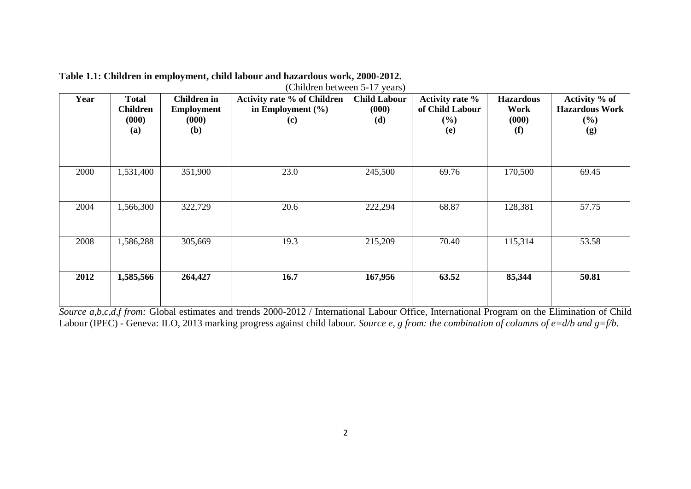| (Children between 5-17 years) |                                                 |                                                                |                                                                    |                                     |                                                            |                                          |                                                         |  |  |  |  |  |
|-------------------------------|-------------------------------------------------|----------------------------------------------------------------|--------------------------------------------------------------------|-------------------------------------|------------------------------------------------------------|------------------------------------------|---------------------------------------------------------|--|--|--|--|--|
| Year                          | <b>Total</b><br><b>Children</b><br>(000)<br>(a) | <b>Children</b> in<br><b>Employment</b><br>(000)<br><b>(b)</b> | <b>Activity rate % of Children</b><br>in Employment $(\% )$<br>(c) | <b>Child Labour</b><br>(000)<br>(d) | <b>Activity rate %</b><br>of Child Labour<br>$(\%)$<br>(e) | <b>Hazardous</b><br>Work<br>(000)<br>(f) | Activity % of<br><b>Hazardous Work</b><br>$(\%)$<br>(g) |  |  |  |  |  |
| 2000                          | 1,531,400                                       | 351,900                                                        | 23.0                                                               | 245,500                             | 69.76                                                      | 170,500                                  | 69.45                                                   |  |  |  |  |  |
| 2004                          | 1,566,300                                       | 322,729                                                        | 20.6                                                               | 222,294                             | 68.87                                                      | 128,381                                  | 57.75                                                   |  |  |  |  |  |
| 2008                          | 1,586,288                                       | 305,669                                                        | 19.3                                                               | 215,209                             | 70.40                                                      | 115,314                                  | 53.58                                                   |  |  |  |  |  |
| 2012                          | 1,585,566                                       | 264,427                                                        | 16.7                                                               | 167,956                             | 63.52                                                      | 85,344                                   | 50.81                                                   |  |  |  |  |  |

**Table 1.1: Children in employment, child labour and hazardous work, 2000-2012.**

<span id="page-10-0"></span>*Source a,b,c,d,f from:* Global estimates and trends 2000-2012 / International Labour Office, International Program on the Elimination of Child Labour (IPEC) - Geneva: ILO, 2013 marking progress against child labour. *Source e, g from: the combination of columns of e=d/b and g=f/b.*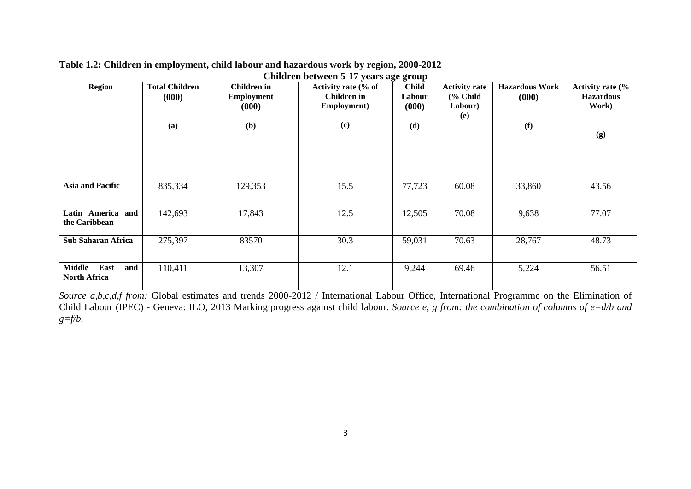| <b>Region</b>                                       | <b>Total Children</b><br>(000)<br>(a) | Children in<br><b>Employment</b><br>(000)<br>(b) | Activity rate (% of<br><b>Children</b> in<br>Employment)<br>(c) | 00<br><b>Child</b><br>Labour<br>(000)<br>(d) | <b>Activity rate</b><br>$%$ Child<br>Labour)<br>(e) | <b>Hazardous Work</b><br>(000)<br>(f) | Activity rate (%<br><b>Hazardous</b><br>Work)<br>(g) |
|-----------------------------------------------------|---------------------------------------|--------------------------------------------------|-----------------------------------------------------------------|----------------------------------------------|-----------------------------------------------------|---------------------------------------|------------------------------------------------------|
| <b>Asia and Pacific</b>                             | 835,334                               | 129,353                                          | 15.5                                                            | 77,723                                       | 60.08                                               | 33,860                                | 43.56                                                |
| Latin America and<br>the Caribbean                  | 142,693                               | 17,843                                           | 12.5                                                            | 12,505                                       | 70.08                                               | 9,638                                 | 77.07                                                |
| <b>Sub Saharan Africa</b>                           | 275,397                               | 83570                                            | 30.3                                                            | 59,031                                       | 70.63                                               | 28,767                                | 48.73                                                |
| East<br><b>Middle</b><br>and<br><b>North Africa</b> | 110,411                               | 13,307                                           | 12.1                                                            | 9,244                                        | 69.46                                               | 5,224                                 | 56.51                                                |

#### **Table 1.2: Children in employment, child labour and hazardous work by region, 2000-2012 Children between 5-17 years age group**

<span id="page-11-0"></span>*Source a,b,c,d,f from:* Global estimates and trends 2000-2012 / International Labour Office, International Programme on the Elimination of Child Labour (IPEC) - Geneva: ILO, 2013 Marking progress against child labour. *Source e, g from: the combination of columns of e=d/b and g=f/b.*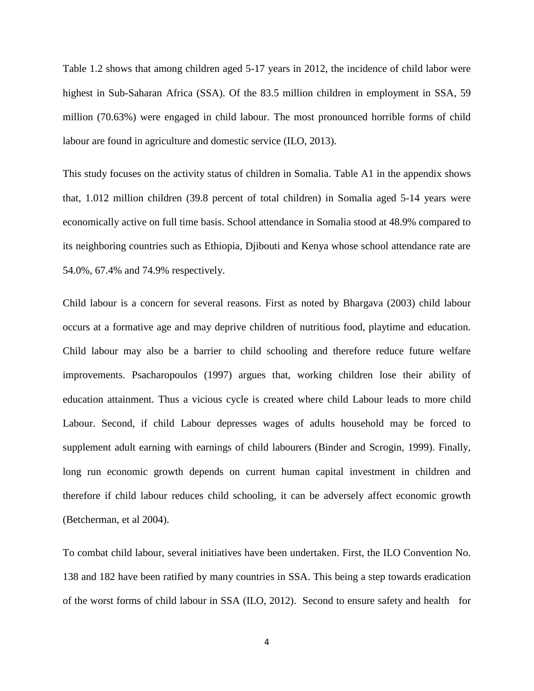Table 1.2 shows that among children aged 5-17 years in 2012, the incidence of child labor were highest in Sub-Saharan Africa (SSA). Of the 83.5 million children in employment in SSA, 59 million (70.63%) were engaged in child labour. The most pronounced horrible forms of child labour are found in agriculture and domestic service (ILO, 2013).

This study focuses on the activity status of children in Somalia. Table A1 in the appendix shows that, 1.012 million children (39.8 percent of total children) in Somalia aged 5-14 years were economically active on full time basis. School attendance in Somalia stood at 48.9% compared to its neighboring countries such as Ethiopia, Djibouti and Kenya whose school attendance rate are 54.0%, 67.4% and 74.9% respectively.

Child labour is a concern for several reasons. First as noted by Bhargava (2003) child labour occurs at a formative age and may deprive children of nutritious food, playtime and education. Child labour may also be a barrier to child schooling and therefore reduce future welfare improvements. Psacharopoulos (1997) argues that, working children lose their ability of education attainment. Thus a vicious cycle is created where child Labour leads to more child Labour. Second, if child Labour depresses wages of adults household may be forced to supplement adult earning with earnings of child labourers (Binder and Scrogin, 1999). Finally, long run economic growth depends on current human capital investment in children and therefore if child labour reduces child schooling, it can be adversely affect economic growth (Betcherman, et al 2004).

To combat child labour, several initiatives have been undertaken. First, the ILO Convention No. 138 and 182 have been ratified by many countries in SSA. This being a step towards eradication of the worst forms of child labour in SSA (ILO, 2012). Second to ensure safety and health for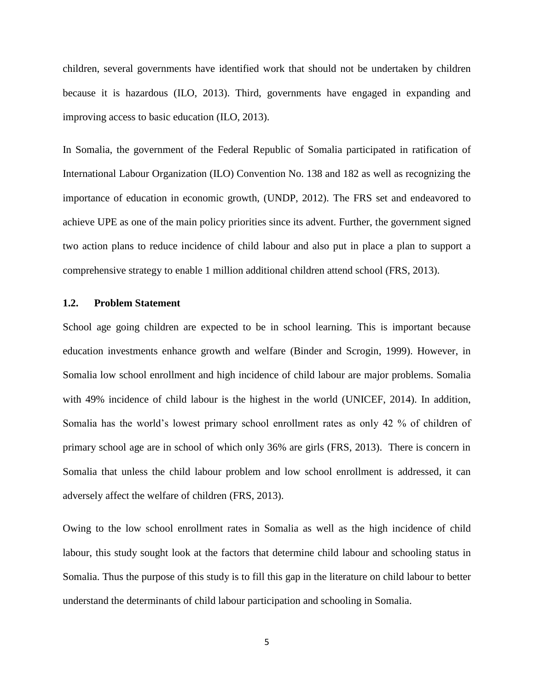children, several governments have identified work that should not be undertaken by children because it is hazardous (ILO, 2013). Third, governments have engaged in expanding and improving access to basic education (ILO, 2013).

In Somalia, the government of the Federal Republic of Somalia participated in ratification of International Labour Organization (ILO) Convention No. 138 and 182 as well as recognizing the importance of education in economic growth, (UNDP, 2012). The FRS set and endeavored to achieve UPE as one of the main policy priorities since its advent. Further, the government signed two action plans to reduce incidence of child labour and also put in place a plan to support a comprehensive strategy to enable 1 million additional children attend school (FRS, 2013).

#### **1.2. Problem Statement**

<span id="page-13-0"></span>School age going children are expected to be in school learning. This is important because education investments enhance growth and welfare (Binder and Scrogin, 1999). However, in Somalia low school enrollment and high incidence of child labour are major problems. Somalia with 49% incidence of child labour is the highest in the world (UNICEF, 2014). In addition, Somalia has the world's lowest primary school enrollment rates as only 42 % of children of primary school age are in school of which only 36% are girls (FRS, 2013). There is concern in Somalia that unless the child labour problem and low school enrollment is addressed, it can adversely affect the welfare of children (FRS, 2013).

Owing to the low school enrollment rates in Somalia as well as the high incidence of child labour, this study sought look at the factors that determine child labour and schooling status in Somalia. Thus the purpose of this study is to fill this gap in the literature on child labour to better understand the determinants of child labour participation and schooling in Somalia.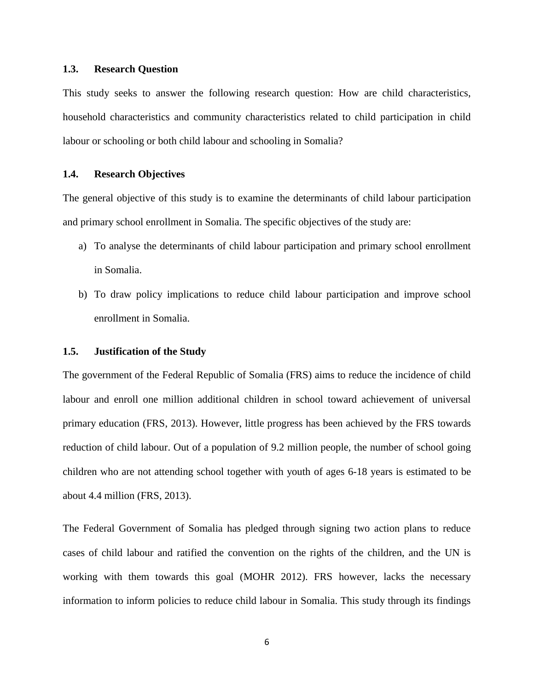#### **1.3. Research Question**

<span id="page-14-0"></span>This study seeks to answer the following research question: How are child characteristics, household characteristics and community characteristics related to child participation in child labour or schooling or both child labour and schooling in Somalia?

#### **1.4. Research Objectives**

<span id="page-14-1"></span>The general objective of this study is to examine the determinants of child labour participation and primary school enrollment in Somalia. The specific objectives of the study are:

- a) To analyse the determinants of child labour participation and primary school enrollment in Somalia.
- b) To draw policy implications to reduce child labour participation and improve school enrollment in Somalia.

#### **1.5. Justification of the Study**

<span id="page-14-2"></span>The government of the Federal Republic of Somalia (FRS) aims to reduce the incidence of child labour and enroll one million additional children in school toward achievement of universal primary education (FRS, 2013). However, little progress has been achieved by the FRS towards reduction of child labour. Out of a population of 9.2 million people, the number of school going children who are not attending school together with youth of ages 6-18 years is estimated to be about 4.4 million (FRS, 2013).

The Federal Government of Somalia has pledged through signing two action plans to reduce cases of child labour and ratified the convention on the rights of the children, and the UN is working with them towards this goal (MOHR 2012). FRS however, lacks the necessary information to inform policies to reduce child labour in Somalia. This study through its findings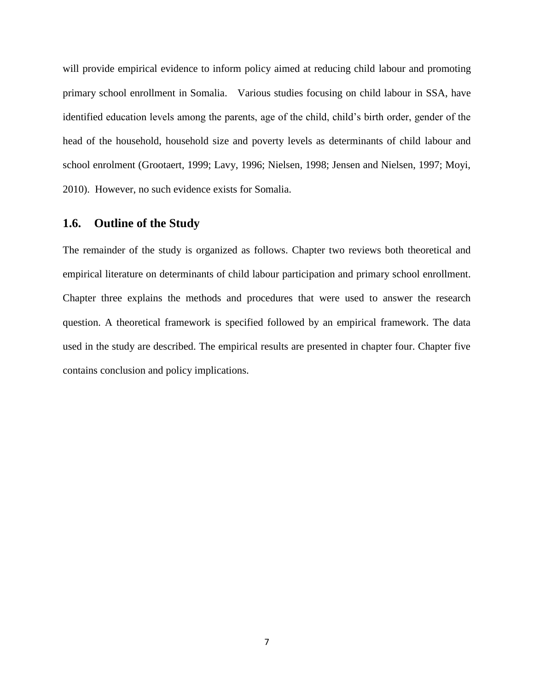will provide empirical evidence to inform policy aimed at reducing child labour and promoting primary school enrollment in Somalia. Various studies focusing on child labour in SSA, have identified education levels among the parents, age of the child, child's birth order, gender of the head of the household, household size and poverty levels as determinants of child labour and school enrolment (Grootaert, 1999; Lavy, 1996; Nielsen, 1998; Jensen and Nielsen, 1997; Moyi, 2010). However, no such evidence exists for Somalia.

### **1.6. Outline of the Study**

<span id="page-15-0"></span>The remainder of the study is organized as follows. Chapter two reviews both theoretical and empirical literature on determinants of child labour participation and primary school enrollment. Chapter three explains the methods and procedures that were used to answer the research question. A theoretical framework is specified followed by an empirical framework. The data used in the study are described. The empirical results are presented in chapter four. Chapter five contains conclusion and policy implications.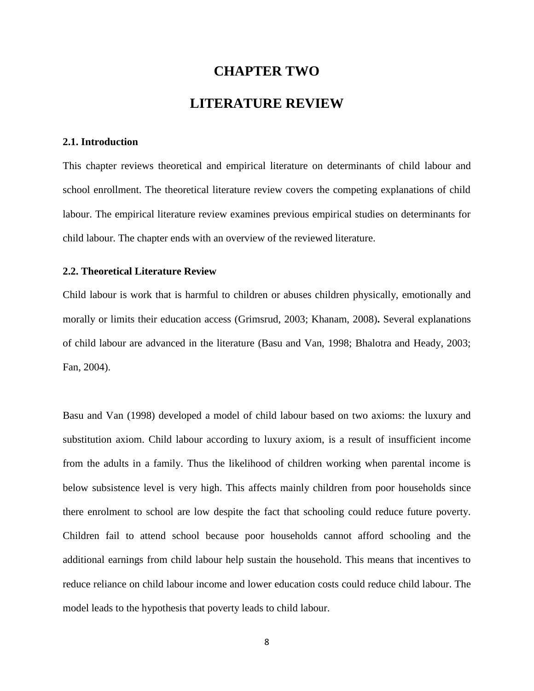# **CHAPTER TWO LITERATURE REVIEW**

#### <span id="page-16-1"></span><span id="page-16-0"></span>**2.1. Introduction**

<span id="page-16-2"></span>This chapter reviews theoretical and empirical literature on determinants of child labour and school enrollment. The theoretical literature review covers the competing explanations of child labour. The empirical literature review examines previous empirical studies on determinants for child labour. The chapter ends with an overview of the reviewed literature.

#### **2.2. Theoretical Literature Review**

<span id="page-16-3"></span>Child labour is work that is harmful to children or abuses children physically, emotionally and morally or limits their education access (Grimsrud, 2003; Khanam, 2008)**.** Several explanations of child labour are advanced in the literature (Basu and Van, 1998; Bhalotra and Heady, 2003; Fan, 2004).

Basu and Van (1998) developed a model of child labour based on two axioms: the luxury and substitution axiom. Child labour according to luxury axiom, is a result of insufficient income from the adults in a family. Thus the likelihood of children working when parental income is below subsistence level is very high. This affects mainly children from poor households since there enrolment to school are low despite the fact that schooling could reduce future poverty. Children fail to attend school because poor households cannot afford schooling and the additional earnings from child labour help sustain the household. This means that incentives to reduce reliance on child labour income and lower education costs could reduce child labour. The model leads to the hypothesis that poverty leads to child labour.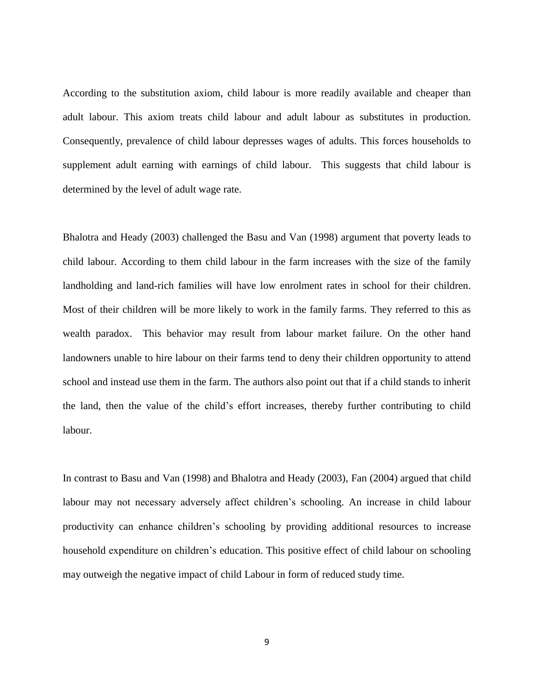According to the substitution axiom, child labour is more readily available and cheaper than adult labour. This axiom treats child labour and adult labour as substitutes in production. Consequently, prevalence of child labour depresses wages of adults. This forces households to supplement adult earning with earnings of child labour. This suggests that child labour is determined by the level of adult wage rate.

Bhalotra and Heady (2003) challenged the Basu and Van (1998) argument that poverty leads to child labour. According to them child labour in the farm increases with the size of the family landholding and land-rich families will have low enrolment rates in school for their children. Most of their children will be more likely to work in the family farms. They referred to this as wealth paradox. This behavior may result from labour market failure. On the other hand landowners unable to hire labour on their farms tend to deny their children opportunity to attend school and instead use them in the farm. The authors also point out that if a child stands to inherit the land, then the value of the child's effort increases, thereby further contributing to child labour.

In contrast to Basu and Van (1998) and Bhalotra and Heady (2003), Fan (2004) argued that child labour may not necessary adversely affect children's schooling. An increase in child labour productivity can enhance children's schooling by providing additional resources to increase household expenditure on children's education. This positive effect of child labour on schooling may outweigh the negative impact of child Labour in form of reduced study time.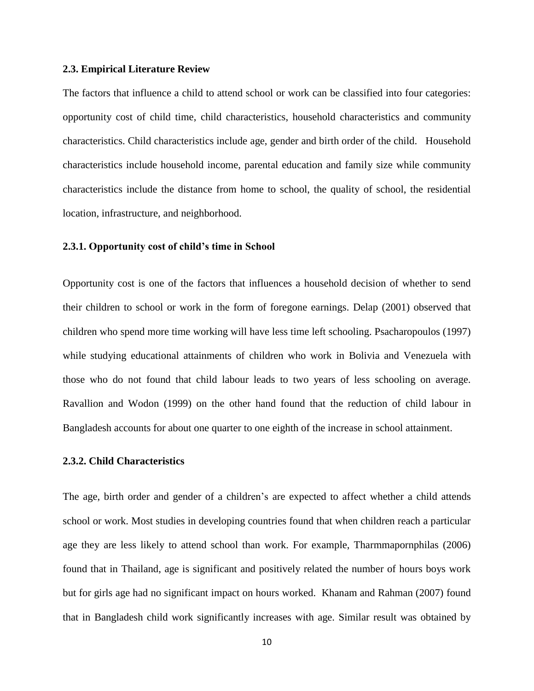#### **2.3. Empirical Literature Review**

<span id="page-18-0"></span>The factors that influence a child to attend school or work can be classified into four categories: opportunity cost of child time, child characteristics, household characteristics and community characteristics. Child characteristics include age, gender and birth order of the child. Household characteristics include household income, parental education and family size while community characteristics include the distance from home to school, the quality of school, the residential location, infrastructure, and neighborhood.

#### **2.3.1. Opportunity cost of child's time in School**

<span id="page-18-1"></span>Opportunity cost is one of the factors that influences a household decision of whether to send their children to school or work in the form of foregone earnings. Delap (2001) observed that children who spend more time working will have less time left schooling. Psacharopoulos (1997) while studying educational attainments of children who work in Bolivia and Venezuela with those who do not found that child labour leads to two years of less schooling on average. Ravallion and Wodon (1999) on the other hand found that the reduction of child labour in Bangladesh accounts for about one quarter to one eighth of the increase in school attainment.

#### **2.3.2. Child Characteristics**

<span id="page-18-2"></span>The age, birth order and gender of a children's are expected to affect whether a child attends school or work. Most studies in developing countries found that when children reach a particular age they are less likely to attend school than work. For example, Tharmmapornphilas (2006) found that in Thailand, age is significant and positively related the number of hours boys work but for girls age had no significant impact on hours worked. Khanam and Rahman (2007) found that in Bangladesh child work significantly increases with age. Similar result was obtained by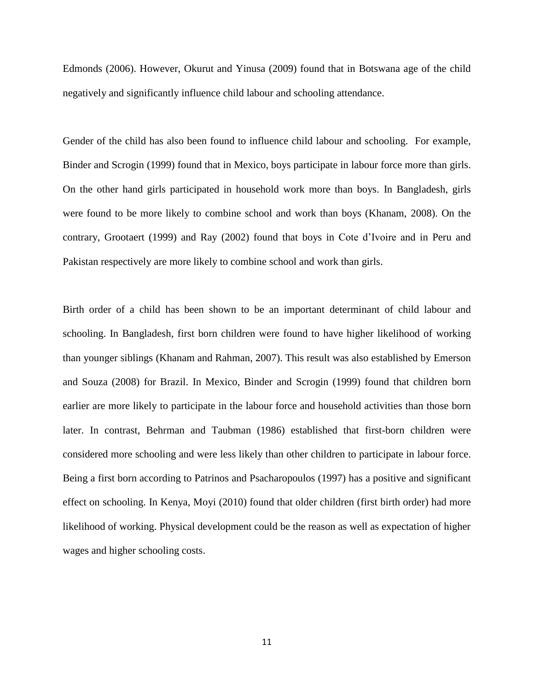Edmonds (2006). However, Okurut and Yinusa (2009) found that in Botswana age of the child negatively and significantly influence child labour and schooling attendance.

Gender of the child has also been found to influence child labour and schooling. For example, Binder and Scrogin (1999) found that in Mexico, boys participate in labour force more than girls. On the other hand girls participated in household work more than boys. In Bangladesh, girls were found to be more likely to combine school and work than boys (Khanam, 2008). On the contrary, Grootaert (1999) and Ray (2002) found that boys in Cote d'Ivoire and in Peru and Pakistan respectively are more likely to combine school and work than girls.

Birth order of a child has been shown to be an important determinant of child labour and schooling. In Bangladesh, first born children were found to have higher likelihood of working than younger siblings (Khanam and Rahman, 2007). This result was also established by Emerson and Souza (2008) for Brazil. In Mexico, Binder and Scrogin (1999) found that children born earlier are more likely to participate in the labour force and household activities than those born later. In contrast, Behrman and Taubman (1986) established that first-born children were considered more schooling and were less likely than other children to participate in labour force. Being a first born according to Patrinos and Psacharopoulos (1997) has a positive and significant effect on schooling. In Kenya, Moyi (2010) found that older children (first birth order) had more likelihood of working. Physical development could be the reason as well as expectation of higher wages and higher schooling costs.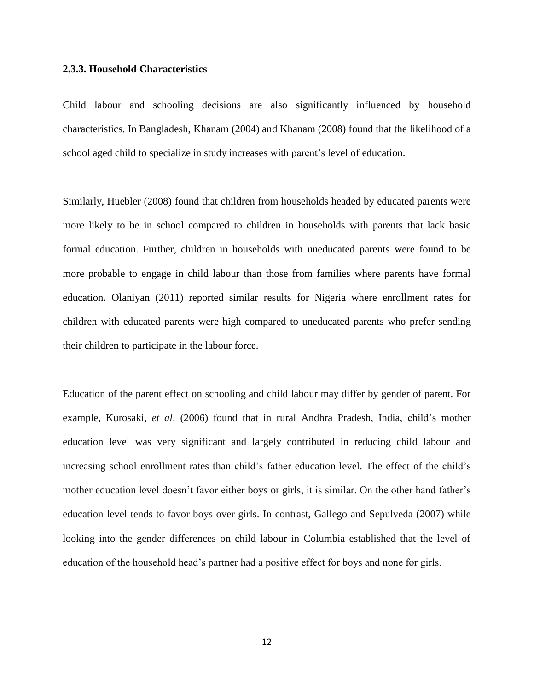#### **2.3.3. Household Characteristics**

<span id="page-20-0"></span>Child labour and schooling decisions are also significantly influenced by household characteristics. In Bangladesh, Khanam (2004) and Khanam (2008) found that the likelihood of a school aged child to specialize in study increases with parent's level of education.

Similarly, Huebler (2008) found that children from households headed by educated parents were more likely to be in school compared to children in households with parents that lack basic formal education. Further, children in households with uneducated parents were found to be more probable to engage in child labour than those from families where parents have formal education. Olaniyan (2011) reported similar results for Nigeria where enrollment rates for children with educated parents were high compared to uneducated parents who prefer sending their children to participate in the labour force.

Education of the parent effect on schooling and child labour may differ by gender of parent. For example, Kurosaki, *et al*. (2006) found that in rural Andhra Pradesh, India, child's mother education level was very significant and largely contributed in reducing child labour and increasing school enrollment rates than child's father education level. The effect of the child's mother education level doesn't favor either boys or girls, it is similar. On the other hand father's education level tends to favor boys over girls. In contrast, Gallego and Sepulveda (2007) while looking into the gender differences on child labour in Columbia established that the level of education of the household head's partner had a positive effect for boys and none for girls.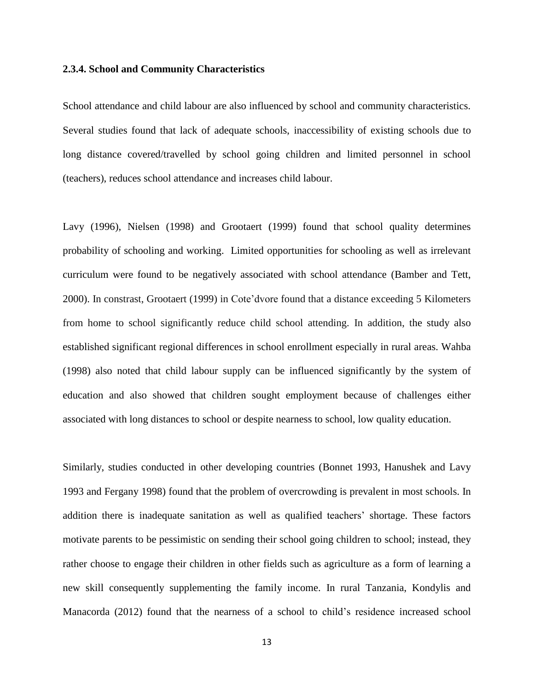#### **2.3.4. School and Community Characteristics**

<span id="page-21-0"></span>School attendance and child labour are also influenced by school and community characteristics. Several studies found that lack of adequate schools, inaccessibility of existing schools due to long distance covered/travelled by school going children and limited personnel in school (teachers), reduces school attendance and increases child labour.

Lavy (1996), Nielsen (1998) and Grootaert (1999) found that school quality determines probability of schooling and working. Limited opportunities for schooling as well as irrelevant curriculum were found to be negatively associated with school attendance (Bamber and Tett, 2000). In constrast, Grootaert (1999) in Cote'dvore found that a distance exceeding 5 Kilometers from home to school significantly reduce child school attending. In addition, the study also established significant regional differences in school enrollment especially in rural areas. Wahba (1998) also noted that child labour supply can be influenced significantly by the system of education and also showed that children sought employment because of challenges either associated with long distances to school or despite nearness to school, low quality education.

Similarly, studies conducted in other developing countries (Bonnet 1993, Hanushek and Lavy 1993 and Fergany 1998) found that the problem of overcrowding is prevalent in most schools. In addition there is inadequate sanitation as well as qualified teachers' shortage. These factors motivate parents to be pessimistic on sending their school going children to school; instead, they rather choose to engage their children in other fields such as agriculture as a form of learning a new skill consequently supplementing the family income. In rural Tanzania, Kondylis and Manacorda (2012) found that the nearness of a school to child's residence increased school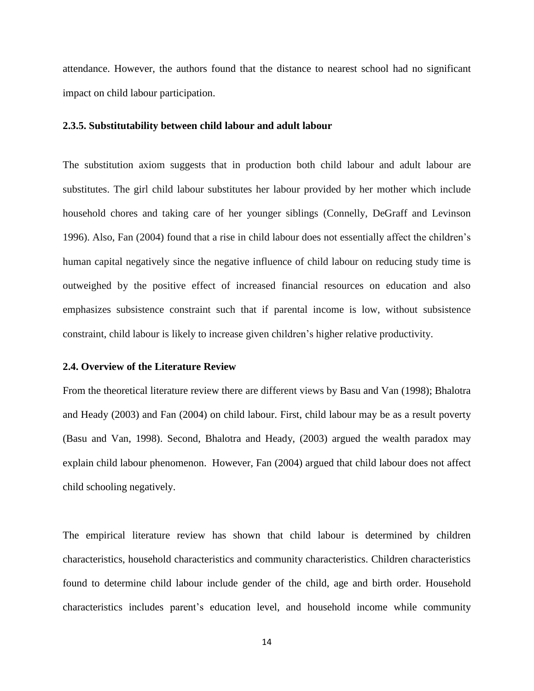attendance. However, the authors found that the distance to nearest school had no significant impact on child labour participation.

#### **2.3.5. Substitutability between child labour and adult labour**

<span id="page-22-0"></span>The substitution axiom suggests that in production both child labour and adult labour are substitutes. The girl child labour substitutes her labour provided by her mother which include household chores and taking care of her younger siblings (Connelly, DeGraff and Levinson 1996). Also, Fan (2004) found that a rise in child labour does not essentially affect the children's human capital negatively since the negative influence of child labour on reducing study time is outweighed by the positive effect of increased financial resources on education and also emphasizes subsistence constraint such that if parental income is low, without subsistence constraint, child labour is likely to increase given children's higher relative productivity.

#### **2.4. Overview of the Literature Review**

<span id="page-22-1"></span>From the theoretical literature review there are different views by Basu and Van (1998); Bhalotra and Heady (2003) and Fan (2004) on child labour. First, child labour may be as a result poverty (Basu and Van, 1998). Second, Bhalotra and Heady, (2003) argued the wealth paradox may explain child labour phenomenon. However, Fan (2004) argued that child labour does not affect child schooling negatively.

The empirical literature review has shown that child labour is determined by children characteristics, household characteristics and community characteristics. Children characteristics found to determine child labour include gender of the child, age and birth order. Household characteristics includes parent's education level, and household income while community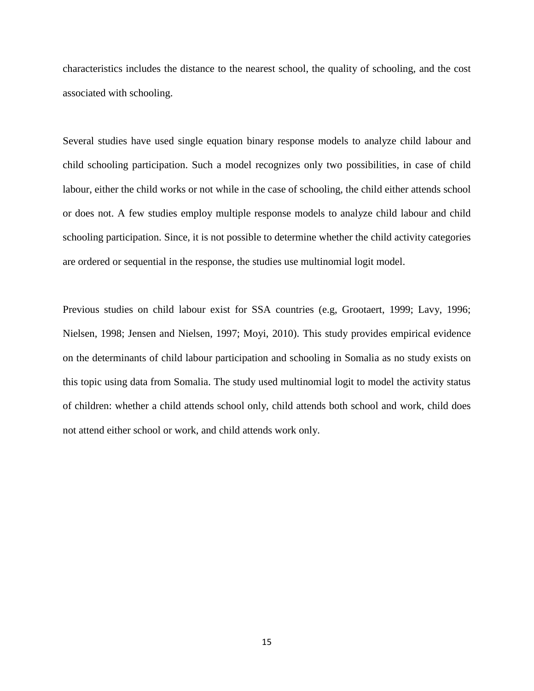characteristics includes the distance to the nearest school, the quality of schooling, and the cost associated with schooling.

Several studies have used single equation binary response models to analyze child labour and child schooling participation. Such a model recognizes only two possibilities, in case of child labour, either the child works or not while in the case of schooling, the child either attends school or does not. A few studies employ multiple response models to analyze child labour and child schooling participation. Since, it is not possible to determine whether the child activity categories are ordered or sequential in the response, the studies use multinomial logit model.

Previous studies on child labour exist for SSA countries (e.g, Grootaert, 1999; Lavy, 1996; Nielsen, 1998; Jensen and Nielsen, 1997; Moyi, 2010). This study provides empirical evidence on the determinants of child labour participation and schooling in Somalia as no study exists on this topic using data from Somalia. The study used multinomial logit to model the activity status of children: whether a child attends school only, child attends both school and work, child does not attend either school or work, and child attends work only.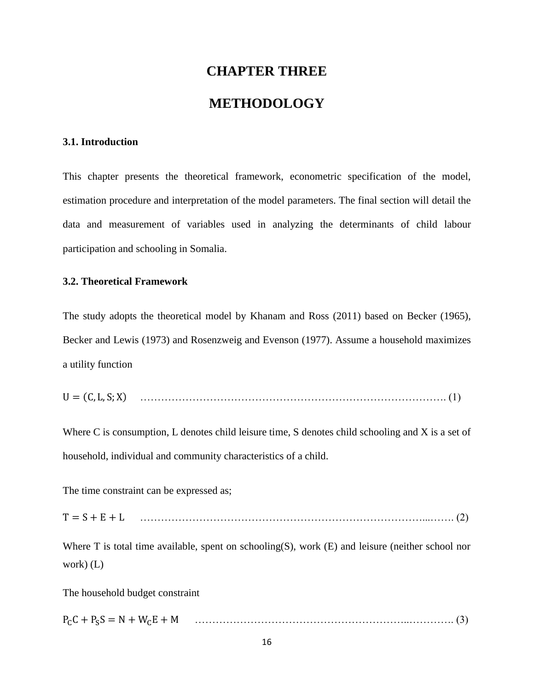# **CHAPTER THREE METHODOLOGY**

#### <span id="page-24-1"></span><span id="page-24-0"></span>**3.1. Introduction**

<span id="page-24-2"></span>This chapter presents the theoretical framework, econometric specification of the model, estimation procedure and interpretation of the model parameters. The final section will detail the data and measurement of variables used in analyzing the determinants of child labour participation and schooling in Somalia.

#### **3.2. Theoretical Framework**

<span id="page-24-3"></span>The study adopts the theoretical model by Khanam and Ross (2011) based on Becker (1965), Becker and Lewis (1973) and Rosenzweig and Evenson (1977). Assume a household maximizes a utility function

( ) ……………………………………………………………………………. (1)

Where C is consumption, L denotes child leisure time, S denotes child schooling and X is a set of household, individual and community characteristics of a child.

The time constraint can be expressed as;

………………………………………………………………………...……. (2)

Where T is total time available, spent on schooling(S), work (E) and leisure (neither school nor work) (L)

The household budget constraint

……………………………………………………..…………. (3)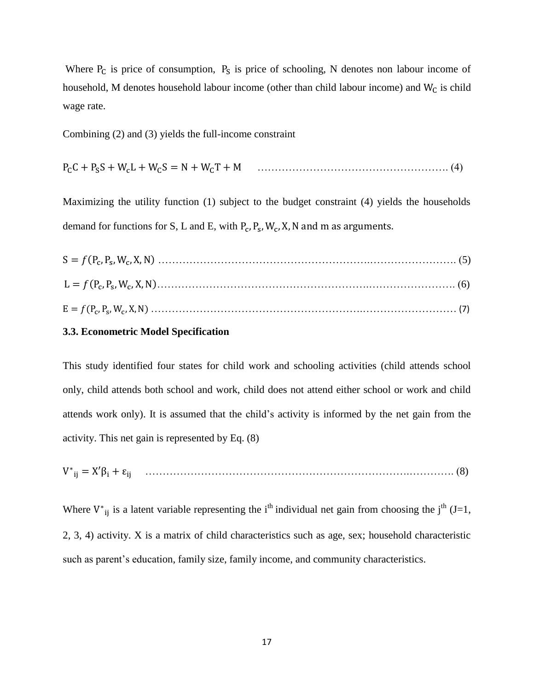Where  $P_c$  is price of consumption,  $P_s$  is price of schooling, N denotes non labour income of household, M denotes household labour income (other than child labour income) and  $W_C$  is child wage rate.

Combining (2) and (3) yields the full-income constraint

………………………………………………. (4)

Maximizing the utility function (1) subject to the budget constraint (4) yields the households demand for functions for S, L and E, with  $P_c$ ,  $P_s$ ,  $W_c$ ,

#### **3.3. Econometric Model Specification**

<span id="page-25-0"></span>This study identified four states for child work and schooling activities (child attends school only, child attends both school and work, child does not attend either school or work and child attends work only). It is assumed that the child's activity is informed by the net gain from the activity. This net gain is represented by Eq. (8)

………………………………………………………………….…………. (8)

Where  $V_{ij}^*$  is a latent variable representing the i<sup>th</sup> individual net gain from choosing the j<sup>th</sup> (J=1, 2, 3, 4) activity. X is a matrix of child characteristics such as age, sex; household characteristic such as parent's education, family size, family income, and community characteristics.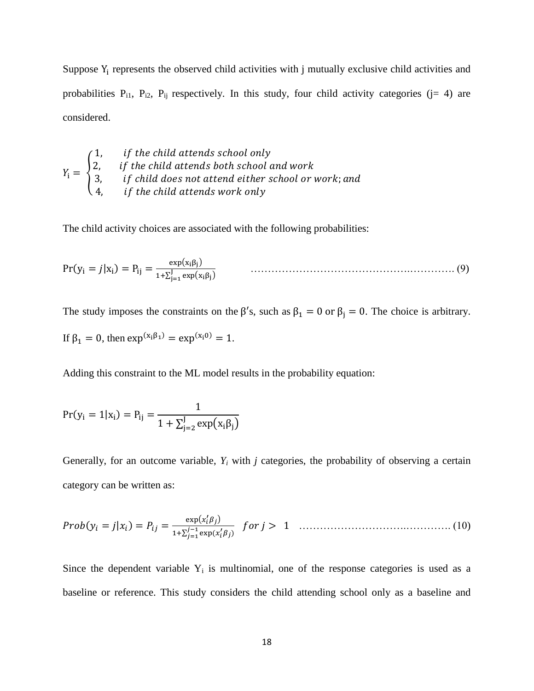Suppose  $Y_i$  represents the observed child activities with j mutually exclusive child activities and probabilities  $P_{i1}$ ,  $P_{i2}$ ,  $P_{ij}$  respectively. In this study, four child activity categories (j= 4) are considered.

$$
Y_i = \begin{cases} 1, & \text{if the child attends school only} \\ 2, & \text{if the child attends both school and work} \\ 3, & \text{if child does not attend either school or work; and} \\ 4, & \text{if the child attends work only} \end{cases}
$$

The child activity choices are associated with the following probabilities:

$$
Pr(y_i = j | x_i) = P_{ij} = \frac{exp(x_i \beta_j)}{1 + \sum_{j=1}^{J} exp(x_i \beta_j)}
$$
(9)

The study imposes the constraints on the  $\beta'$ s, such as  $\beta_1 = 0$  or  $\beta_j = 0$ . The choice is arbitrary.

If 
$$
\beta_1 = 0
$$
, then  $\exp^{(x_i \beta_1)} = \exp^{(x_i 0)} = 1$ .

Adding this constraint to the ML model results in the probability equation:

$$
Pr(y_i = 1 | x_i) = P_{ij} = \frac{1}{1 + \sum_{j=2}^{J} exp(x_i \beta_j)}
$$

Generally, for an outcome variable,  $Y_i$  with  $j$  categories, the probability of observing a certain category can be written as:

 ( | ) ( ) ∑ ( ) ………………………….…………. (10)

Since the dependent variable  $Y_i$  is multinomial, one of the response categories is used as a baseline or reference. This study considers the child attending school only as a baseline and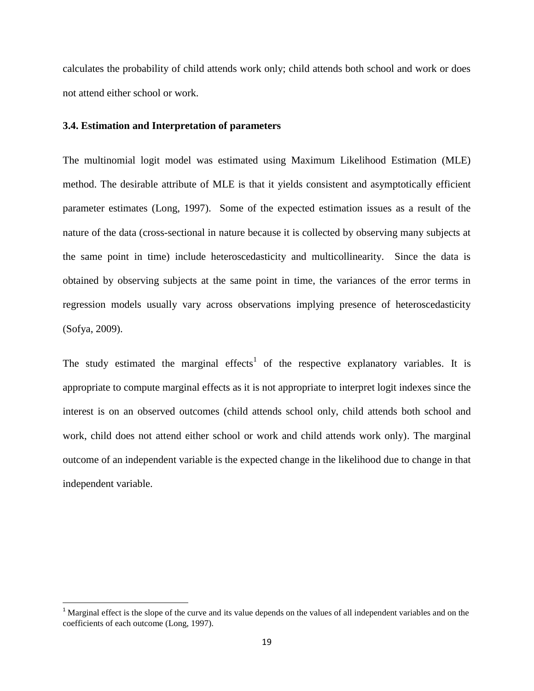calculates the probability of child attends work only; child attends both school and work or does not attend either school or work.

#### **3.4. Estimation and Interpretation of parameters**

l

<span id="page-27-0"></span>The multinomial logit model was estimated using Maximum Likelihood Estimation (MLE) method. The desirable attribute of MLE is that it yields consistent and asymptotically efficient parameter estimates (Long, 1997). Some of the expected estimation issues as a result of the nature of the data (cross-sectional in nature because it is collected by observing many subjects at the same point in time) include heteroscedasticity and multicollinearity. Since the data is obtained by observing subjects at the same point in time, the variances of the error terms in regression models usually vary across observations implying presence of heteroscedasticity (Sofya, 2009).

The study estimated the marginal effects<sup>1</sup> of the respective explanatory variables. It is appropriate to compute marginal effects as it is not appropriate to interpret logit indexes since the interest is on an observed outcomes (child attends school only, child attends both school and work, child does not attend either school or work and child attends work only). The marginal outcome of an independent variable is the expected change in the likelihood due to change in that independent variable.

<sup>&</sup>lt;sup>1</sup> Marginal effect is the slope of the curve and its value depends on the values of all independent variables and on the coefficients of each outcome (Long, 1997).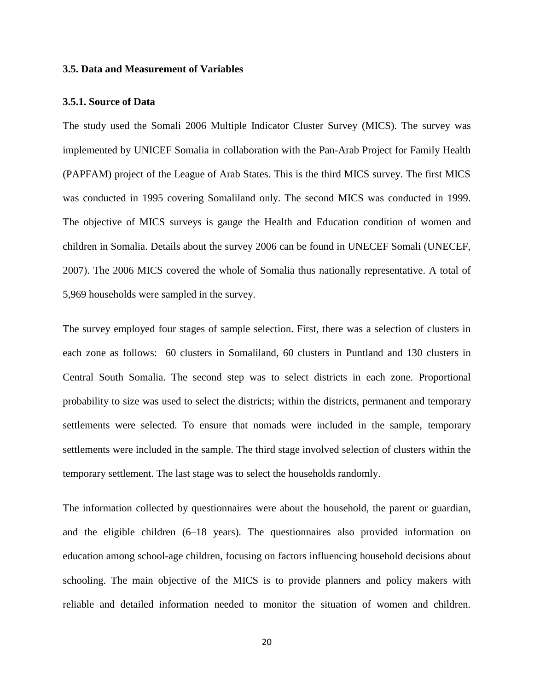#### **3.5. Data and Measurement of Variables**

#### <span id="page-28-0"></span>**3.5.1. Source of Data**

<span id="page-28-1"></span>The study used the Somali 2006 Multiple Indicator Cluster Survey (MICS). The survey was implemented by UNICEF Somalia in collaboration with the Pan-Arab Project for Family Health (PAPFAM) project of the League of Arab States. This is the third MICS survey. The first MICS was conducted in 1995 covering Somaliland only. The second MICS was conducted in 1999. The objective of MICS surveys is gauge the Health and Education condition of women and children in Somalia. Details about the survey 2006 can be found in UNECEF Somali (UNECEF, 2007). The 2006 MICS covered the whole of Somalia thus nationally representative. A total of 5,969 households were sampled in the survey.

The survey employed four stages of sample selection. First, there was a selection of clusters in each zone as follows: 60 clusters in Somaliland, 60 clusters in Puntland and 130 clusters in Central South Somalia. The second step was to select districts in each zone. Proportional probability to size was used to select the districts; within the districts, permanent and temporary settlements were selected. To ensure that nomads were included in the sample, temporary settlements were included in the sample. The third stage involved selection of clusters within the temporary settlement. The last stage was to select the households randomly.

The information collected by questionnaires were about the household, the parent or guardian, and the eligible children (6–18 years). The questionnaires also provided information on education among school-age children, focusing on factors influencing household decisions about schooling. The main objective of the MICS is to provide planners and policy makers with reliable and detailed information needed to monitor the situation of women and children.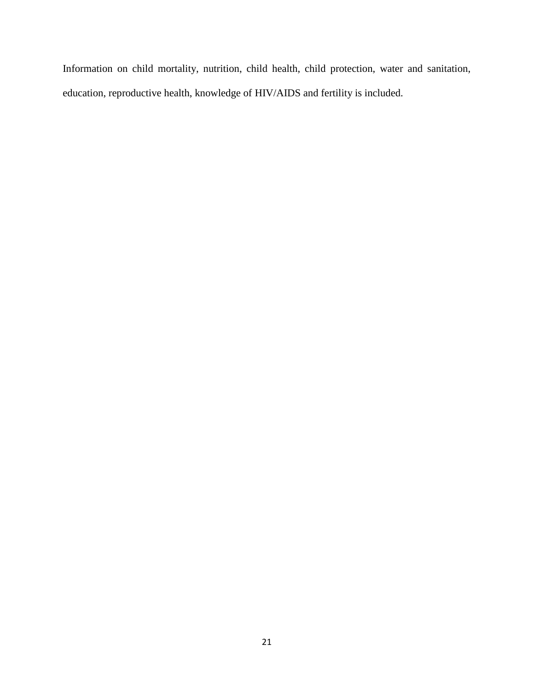Information on child mortality, nutrition, child health, child protection, water and sanitation, education, reproductive health, knowledge of HIV/AIDS and fertility is included.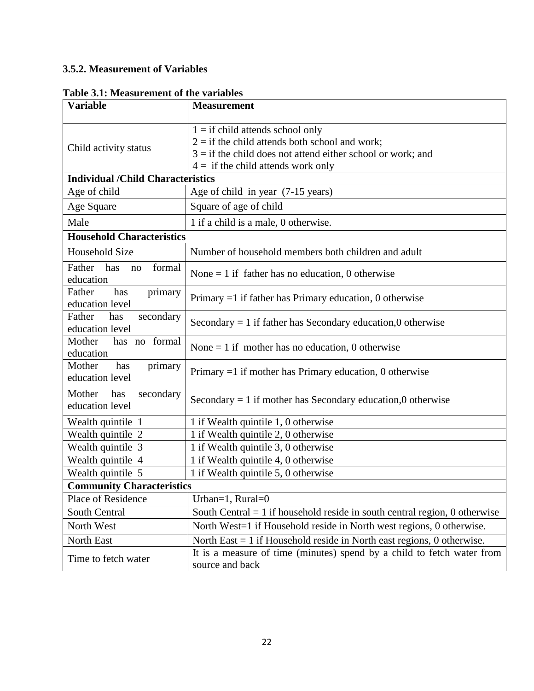## **3.5.2. Measurement of Variables**

<span id="page-30-1"></span><span id="page-30-0"></span>

| <b>Variable</b>                               | <b>Measurement</b>                                                                                                                                                                              |  |  |  |  |  |  |
|-----------------------------------------------|-------------------------------------------------------------------------------------------------------------------------------------------------------------------------------------------------|--|--|--|--|--|--|
| Child activity status                         | $1 =$ if child attends school only<br>$2 =$ if the child attends both school and work;<br>$3 =$ if the child does not attend either school or work; and<br>$4 =$ if the child attends work only |  |  |  |  |  |  |
| <b>Individual /Child Characteristics</b>      |                                                                                                                                                                                                 |  |  |  |  |  |  |
| Age of child                                  | Age of child in year (7-15 years)                                                                                                                                                               |  |  |  |  |  |  |
| Age Square                                    | Square of age of child                                                                                                                                                                          |  |  |  |  |  |  |
| Male                                          | 1 if a child is a male, 0 otherwise.                                                                                                                                                            |  |  |  |  |  |  |
| <b>Household Characteristics</b>              |                                                                                                                                                                                                 |  |  |  |  |  |  |
| <b>Household Size</b>                         | Number of household members both children and adult                                                                                                                                             |  |  |  |  |  |  |
| Father<br>has<br>formal<br>no<br>education    | None $= 1$ if father has no education, 0 otherwise                                                                                                                                              |  |  |  |  |  |  |
| Father<br>has<br>primary<br>education level   | Primary $=1$ if father has Primary education, 0 otherwise                                                                                                                                       |  |  |  |  |  |  |
| Father<br>has<br>secondary<br>education level | Secondary $= 1$ if father has Secondary education,0 otherwise                                                                                                                                   |  |  |  |  |  |  |
| Mother<br>has no formal<br>education          | None $= 1$ if mother has no education, 0 otherwise                                                                                                                                              |  |  |  |  |  |  |
| Mother<br>has<br>primary<br>education level   | Primary $=1$ if mother has Primary education, 0 otherwise                                                                                                                                       |  |  |  |  |  |  |
| Mother<br>has<br>secondary<br>education level | Secondary $= 1$ if mother has Secondary education,0 otherwise                                                                                                                                   |  |  |  |  |  |  |
| Wealth quintile 1                             | 1 if Wealth quintile 1, 0 otherwise                                                                                                                                                             |  |  |  |  |  |  |
| Wealth quintile 2                             | 1 if Wealth quintile 2, 0 otherwise                                                                                                                                                             |  |  |  |  |  |  |
| Wealth quintile 3                             | 1 if Wealth quintile 3, 0 otherwise                                                                                                                                                             |  |  |  |  |  |  |
| Wealth quintile 4                             | 1 if Wealth quintile 4, 0 otherwise                                                                                                                                                             |  |  |  |  |  |  |
| Wealth quintile 5                             | 1 if Wealth quintile 5, 0 otherwise                                                                                                                                                             |  |  |  |  |  |  |
| <b>Community Characteristics</b>              |                                                                                                                                                                                                 |  |  |  |  |  |  |
| Place of Residence                            | Urban=1, $Rural=0$                                                                                                                                                                              |  |  |  |  |  |  |
| South Central                                 | South Central $= 1$ if household reside in south central region, 0 otherwise                                                                                                                    |  |  |  |  |  |  |
| North West                                    | North West=1 if Household reside in North west regions, 0 otherwise.                                                                                                                            |  |  |  |  |  |  |
| North East                                    | North East $= 1$ if Household reside in North east regions, 0 otherwise.                                                                                                                        |  |  |  |  |  |  |
| Time to fetch water                           | It is a measure of time (minutes) spend by a child to fetch water from<br>source and back                                                                                                       |  |  |  |  |  |  |

### **Table 3.1: Measurement of the variables**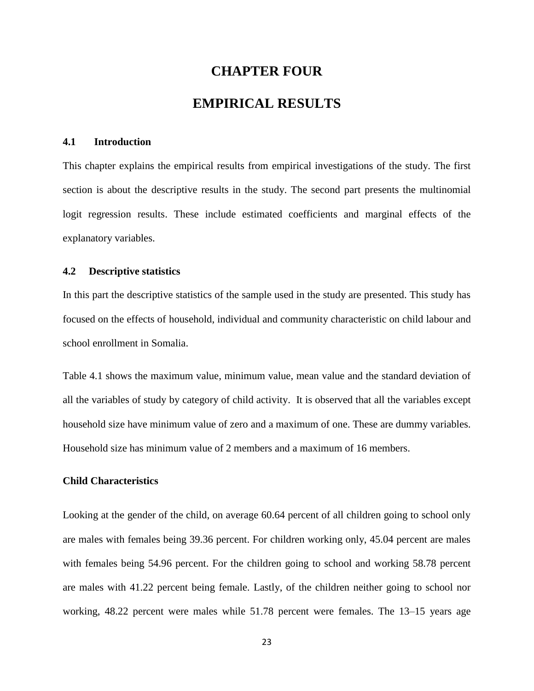# **CHAPTER FOUR EMPIRICAL RESULTS**

#### <span id="page-31-1"></span><span id="page-31-0"></span>**4.1 Introduction**

<span id="page-31-2"></span>This chapter explains the empirical results from empirical investigations of the study. The first section is about the descriptive results in the study. The second part presents the multinomial logit regression results. These include estimated coefficients and marginal effects of the explanatory variables.

#### **4.2 Descriptive statistics**

<span id="page-31-3"></span>In this part the descriptive statistics of the sample used in the study are presented. This study has focused on the effects of household, individual and community characteristic on child labour and school enrollment in Somalia.

Table 4.1 shows the maximum value, minimum value, mean value and the standard deviation of all the variables of study by category of child activity. It is observed that all the variables except household size have minimum value of zero and a maximum of one. These are dummy variables. Household size has minimum value of 2 members and a maximum of 16 members.

#### **Child Characteristics**

Looking at the gender of the child, on average 60.64 percent of all children going to school only are males with females being 39.36 percent. For children working only, 45.04 percent are males with females being 54.96 percent. For the children going to school and working 58.78 percent are males with 41.22 percent being female. Lastly, of the children neither going to school nor working, 48.22 percent were males while 51.78 percent were females. The 13–15 years age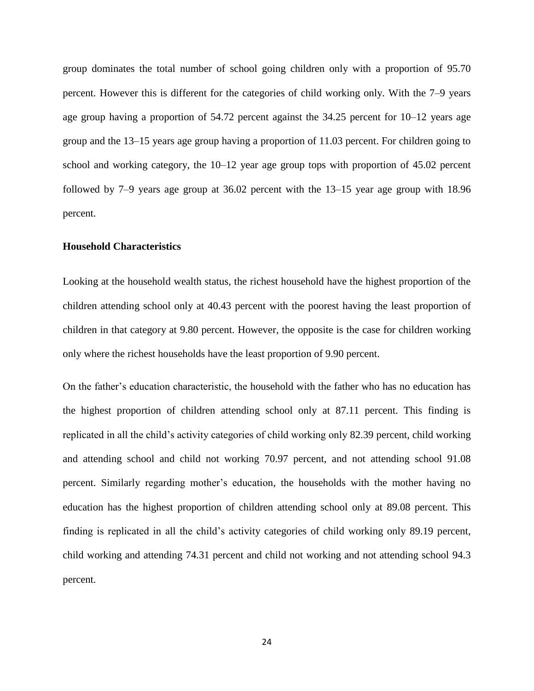group dominates the total number of school going children only with a proportion of 95.70 percent. However this is different for the categories of child working only. With the 7–9 years age group having a proportion of 54.72 percent against the 34.25 percent for 10–12 years age group and the 13–15 years age group having a proportion of 11.03 percent. For children going to school and working category, the 10–12 year age group tops with proportion of 45.02 percent followed by 7–9 years age group at 36.02 percent with the 13–15 year age group with 18.96 percent.

#### **Household Characteristics**

Looking at the household wealth status, the richest household have the highest proportion of the children attending school only at 40.43 percent with the poorest having the least proportion of children in that category at 9.80 percent. However, the opposite is the case for children working only where the richest households have the least proportion of 9.90 percent.

On the father's education characteristic, the household with the father who has no education has the highest proportion of children attending school only at 87.11 percent. This finding is replicated in all the child's activity categories of child working only 82.39 percent, child working and attending school and child not working 70.97 percent, and not attending school 91.08 percent. Similarly regarding mother's education, the households with the mother having no education has the highest proportion of children attending school only at 89.08 percent. This finding is replicated in all the child's activity categories of child working only 89.19 percent, child working and attending 74.31 percent and child not working and not attending school 94.3 percent.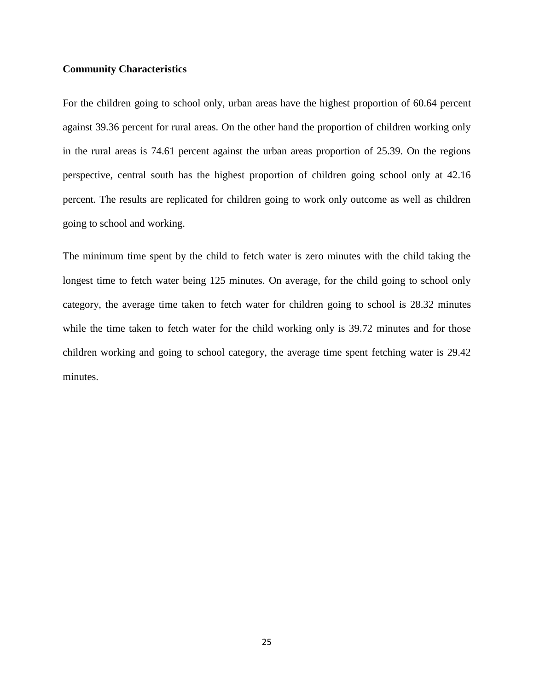#### **Community Characteristics**

For the children going to school only, urban areas have the highest proportion of 60.64 percent against 39.36 percent for rural areas. On the other hand the proportion of children working only in the rural areas is 74.61 percent against the urban areas proportion of 25.39. On the regions perspective, central south has the highest proportion of children going school only at 42.16 percent. The results are replicated for children going to work only outcome as well as children going to school and working.

The minimum time spent by the child to fetch water is zero minutes with the child taking the longest time to fetch water being 125 minutes. On average, for the child going to school only category, the average time taken to fetch water for children going to school is 28.32 minutes while the time taken to fetch water for the child working only is 39.72 minutes and for those children working and going to school category, the average time spent fetching water is 29.42 minutes.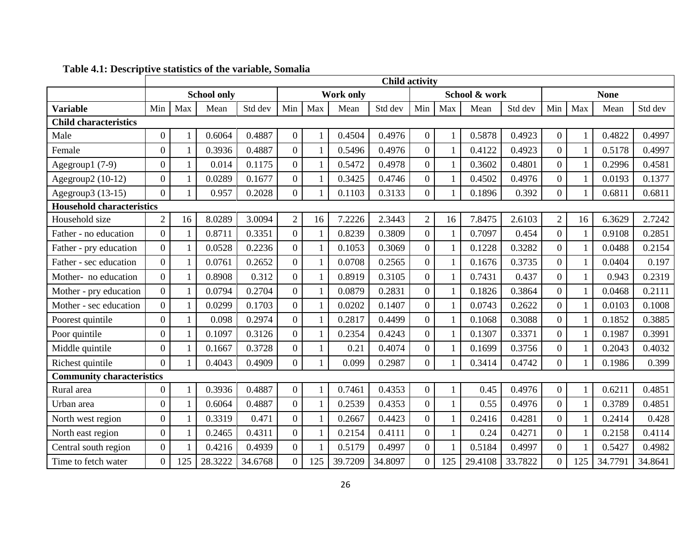<span id="page-34-0"></span>

|                                  | <b>Child activity</b> |              |         |         |                  |              |         |               |                  |              |         |             |                  |              |         |         |
|----------------------------------|-----------------------|--------------|---------|---------|------------------|--------------|---------|---------------|------------------|--------------|---------|-------------|------------------|--------------|---------|---------|
|                                  | <b>School only</b>    |              |         |         | <b>Work only</b> |              |         | School & work |                  |              |         | <b>None</b> |                  |              |         |         |
| <b>Variable</b>                  | Min                   | Max          | Mean    | Std dev | Min              | Max          | Mean    | Std dev       | Min              | Max          | Mean    | Std dev     | Min              | Max          | Mean    | Std dev |
| <b>Child characteristics</b>     |                       |              |         |         |                  |              |         |               |                  |              |         |             |                  |              |         |         |
| Male                             | $\boldsymbol{0}$      |              | 0.6064  | 0.4887  | $\overline{0}$   | 1            | 0.4504  | 0.4976        | $\overline{0}$   | 1            | 0.5878  | 0.4923      | $\overline{0}$   | 1            | 0.4822  | 0.4997  |
| Female                           | $\boldsymbol{0}$      |              | 0.3936  | 0.4887  | $\boldsymbol{0}$ |              | 0.5496  | 0.4976        | $\overline{0}$   | $\mathbf{1}$ | 0.4122  | 0.4923      | $\overline{0}$   |              | 0.5178  | 0.4997  |
| Agegroup1 (7-9)                  | $\boldsymbol{0}$      | 1            | 0.014   | 0.1175  | $\boldsymbol{0}$ | $\mathbf{1}$ | 0.5472  | 0.4978        | $\boldsymbol{0}$ | $\mathbf{1}$ | 0.3602  | 0.4801      | $\overline{0}$   | $\mathbf{1}$ | 0.2996  | 0.4581  |
| Agegroup2 (10-12)                | $\boldsymbol{0}$      | 1            | 0.0289  | 0.1677  | $\boldsymbol{0}$ | 1            | 0.3425  | 0.4746        | $\overline{0}$   | $\mathbf{1}$ | 0.4502  | 0.4976      | $\overline{0}$   | $\mathbf{1}$ | 0.0193  | 0.1377  |
| Agegroup3 (13-15)                | $\boldsymbol{0}$      | 1            | 0.957   | 0.2028  | $\overline{0}$   |              | 0.1103  | 0.3133        | $\overline{0}$   | $\mathbf{1}$ | 0.1896  | 0.392       | $\overline{0}$   | 1            | 0.6811  | 0.6811  |
| <b>Household characteristics</b> |                       |              |         |         |                  |              |         |               |                  |              |         |             |                  |              |         |         |
| Household size                   | $\overline{2}$        | 16           | 8.0289  | 3.0094  | $\overline{2}$   | 16           | 7.2226  | 2.3443        | $\overline{2}$   | 16           | 7.8475  | 2.6103      | $\overline{2}$   | 16           | 6.3629  | 2.7242  |
| Father - no education            | $\overline{0}$        |              | 0.8711  | 0.3351  | $\boldsymbol{0}$ | $\mathbf{1}$ | 0.8239  | 0.3809        | $\overline{0}$   | $\mathbf{1}$ | 0.7097  | 0.454       | $\overline{0}$   |              | 0.9108  | 0.2851  |
| Father - pry education           | $\boldsymbol{0}$      |              | 0.0528  | 0.2236  | $\boldsymbol{0}$ | 1            | 0.1053  | 0.3069        | $\boldsymbol{0}$ | $\mathbf{1}$ | 0.1228  | 0.3282      | $\overline{0}$   | $\mathbf{1}$ | 0.0488  | 0.2154  |
| Father - sec education           | $\boldsymbol{0}$      | $\mathbf{1}$ | 0.0761  | 0.2652  | $\overline{0}$   | $\mathbf{1}$ | 0.0708  | 0.2565        | $\overline{0}$   | $\mathbf{1}$ | 0.1676  | 0.3735      | $\overline{0}$   | $\mathbf{1}$ | 0.0404  | 0.197   |
| Mother- no education             | $\boldsymbol{0}$      |              | 0.8908  | 0.312   | $\boldsymbol{0}$ | 1            | 0.8919  | 0.3105        | $\overline{0}$   | $\mathbf{1}$ | 0.7431  | 0.437       | $\overline{0}$   | 1            | 0.943   | 0.2319  |
| Mother - pry education           | $\overline{0}$        |              | 0.0794  | 0.2704  | $\overline{0}$   | $\mathbf{1}$ | 0.0879  | 0.2831        | $\overline{0}$   | $\mathbf{1}$ | 0.1826  | 0.3864      | $\overline{0}$   | $\mathbf{1}$ | 0.0468  | 0.2111  |
| Mother - sec education           | $\overline{0}$        | 1            | 0.0299  | 0.1703  | $\overline{0}$   | $\mathbf{1}$ | 0.0202  | 0.1407        | $\overline{0}$   | $\mathbf{1}$ | 0.0743  | 0.2622      | $\overline{0}$   | $\mathbf{1}$ | 0.0103  | 0.1008  |
| Poorest quintile                 | $\boldsymbol{0}$      | 1            | 0.098   | 0.2974  | $\boldsymbol{0}$ | $\mathbf{1}$ | 0.2817  | 0.4499        | $\overline{0}$   | $\mathbf{1}$ | 0.1068  | 0.3088      | $\overline{0}$   | $\mathbf{1}$ | 0.1852  | 0.3885  |
| Poor quintile                    | $\boldsymbol{0}$      |              | 0.1097  | 0.3126  | $\overline{0}$   |              | 0.2354  | 0.4243        | $\overline{0}$   | $\mathbf{1}$ | 0.1307  | 0.3371      | $\overline{0}$   | 1            | 0.1987  | 0.3991  |
| Middle quintile                  | $\boldsymbol{0}$      |              | 0.1667  | 0.3728  | $\boldsymbol{0}$ | 1            | 0.21    | 0.4074        | $\overline{0}$   | $\mathbf{1}$ | 0.1699  | 0.3756      | $\overline{0}$   | $\mathbf{1}$ | 0.2043  | 0.4032  |
| Richest quintile                 | $\overline{0}$        |              | 0.4043  | 0.4909  | $\theta$         | 1            | 0.099   | 0.2987        | $\theta$         | $\mathbf{1}$ | 0.3414  | 0.4742      | $\overline{0}$   | 1            | 0.1986  | 0.399   |
| <b>Community characteristics</b> |                       |              |         |         |                  |              |         |               |                  |              |         |             |                  |              |         |         |
| Rural area                       | $\boldsymbol{0}$      | 1            | 0.3936  | 0.4887  | $\boldsymbol{0}$ |              | 0.7461  | 0.4353        | $\boldsymbol{0}$ | $\mathbf{1}$ | 0.45    | 0.4976      | $\boldsymbol{0}$ |              | 0.6211  | 0.4851  |
| Urban area                       | $\boldsymbol{0}$      | 1            | 0.6064  | 0.4887  | $\overline{0}$   | 1            | 0.2539  | 0.4353        | $\overline{0}$   | $\mathbf{1}$ | 0.55    | 0.4976      | $\overline{0}$   | $\mathbf{1}$ | 0.3789  | 0.4851  |
| North west region                | $\boldsymbol{0}$      |              | 0.3319  | 0.471   | $\boldsymbol{0}$ | 1            | 0.2667  | 0.4423        | $\boldsymbol{0}$ | $\mathbf{1}$ | 0.2416  | 0.4281      | $\overline{0}$   | 1            | 0.2414  | 0.428   |
| North east region                | $\boldsymbol{0}$      |              | 0.2465  | 0.4311  | $\boldsymbol{0}$ | 1            | 0.2154  | 0.4111        | $\overline{0}$   | $\mathbf{1}$ | 0.24    | 0.4271      | $\overline{0}$   | $\mathbf{1}$ | 0.2158  | 0.4114  |
| Central south region             | $\boldsymbol{0}$      |              | 0.4216  | 0.4939  | $\overline{0}$   | $\mathbf{1}$ | 0.5179  | 0.4997        | $\overline{0}$   | $\mathbf{1}$ | 0.5184  | 0.4997      | $\overline{0}$   | 1            | 0.5427  | 0.4982  |
| Time to fetch water              | $\boldsymbol{0}$      | 125          | 28.3222 | 34.6768 | $\overline{0}$   | 125          | 39.7209 | 34.8097       | $\overline{0}$   | 125          | 29.4108 | 33.7822     | $\overline{0}$   | 125          | 34.7791 | 34.8641 |

# **Table 4.1: Descriptive statistics of the variable, Somalia**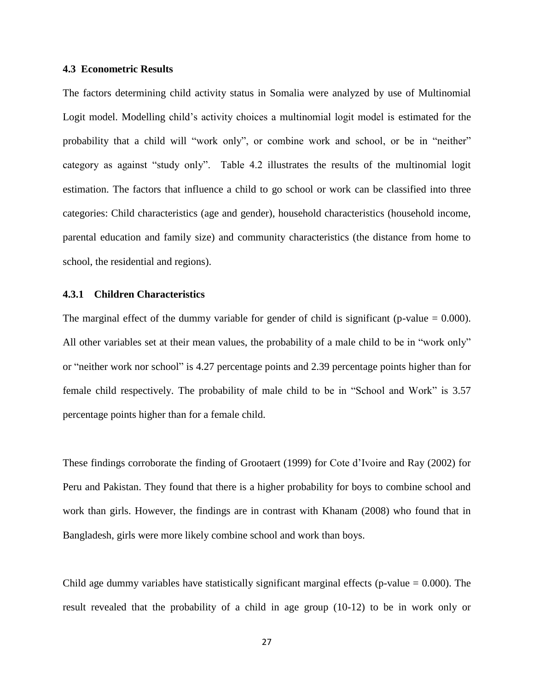#### **4.3 Econometric Results**

<span id="page-35-0"></span>The factors determining child activity status in Somalia were analyzed by use of Multinomial Logit model. Modelling child's activity choices a multinomial logit model is estimated for the probability that a child will "work only", or combine work and school, or be in "neither" category as against "study only". Table 4.2 illustrates the results of the multinomial logit estimation. The factors that influence a child to go school or work can be classified into three categories: Child characteristics (age and gender), household characteristics (household income, parental education and family size) and community characteristics (the distance from home to school, the residential and regions).

#### **4.3.1 Children Characteristics**

<span id="page-35-1"></span>The marginal effect of the dummy variable for gender of child is significant (p-value  $= 0.000$ ). All other variables set at their mean values, the probability of a male child to be in "work only" or "neither work nor school" is 4.27 percentage points and 2.39 percentage points higher than for female child respectively. The probability of male child to be in "School and Work" is 3.57 percentage points higher than for a female child.

These findings corroborate the finding of Grootaert (1999) for Cote d'Ivoire and Ray (2002) for Peru and Pakistan. They found that there is a higher probability for boys to combine school and work than girls. However, the findings are in contrast with Khanam (2008) who found that in Bangladesh, girls were more likely combine school and work than boys.

Child age dummy variables have statistically significant marginal effects (p-value  $= 0.000$ ). The result revealed that the probability of a child in age group (10-12) to be in work only or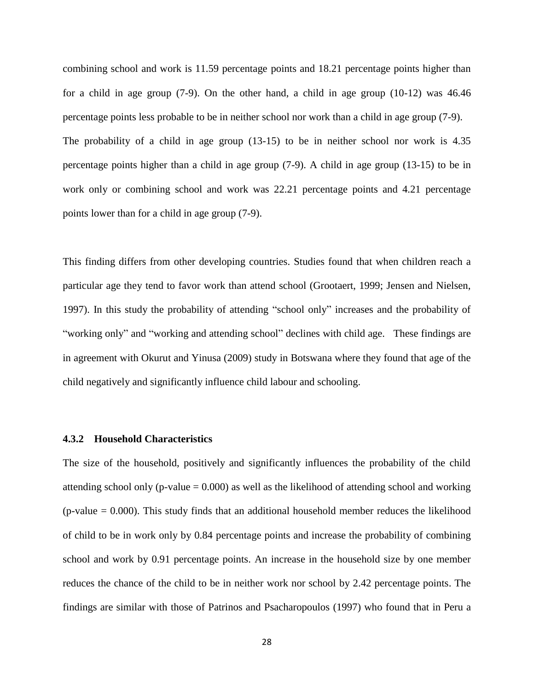combining school and work is 11.59 percentage points and 18.21 percentage points higher than for a child in age group (7-9). On the other hand, a child in age group (10-12) was 46.46 percentage points less probable to be in neither school nor work than a child in age group (7-9). The probability of a child in age group (13-15) to be in neither school nor work is 4.35 percentage points higher than a child in age group (7-9). A child in age group (13-15) to be in work only or combining school and work was 22.21 percentage points and 4.21 percentage points lower than for a child in age group (7-9).

This finding differs from other developing countries. Studies found that when children reach a particular age they tend to favor work than attend school (Grootaert, 1999; Jensen and Nielsen, 1997). In this study the probability of attending "school only" increases and the probability of "working only" and "working and attending school" declines with child age. These findings are in agreement with Okurut and Yinusa (2009) study in Botswana where they found that age of the child negatively and significantly influence child labour and schooling.

#### **4.3.2 Household Characteristics**

<span id="page-36-0"></span>The size of the household, positively and significantly influences the probability of the child attending school only (p-value  $= 0.000$ ) as well as the likelihood of attending school and working (p-value  $= 0.000$ ). This study finds that an additional household member reduces the likelihood of child to be in work only by 0.84 percentage points and increase the probability of combining school and work by 0.91 percentage points. An increase in the household size by one member reduces the chance of the child to be in neither work nor school by 2.42 percentage points. The findings are similar with those of Patrinos and Psacharopoulos (1997) who found that in Peru a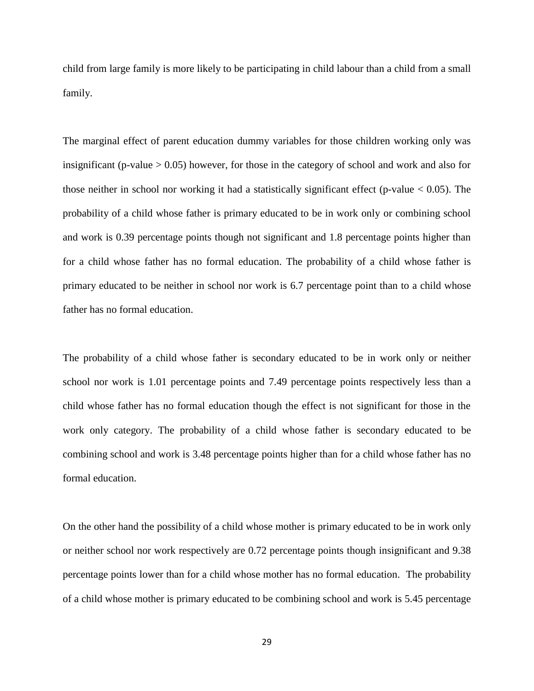child from large family is more likely to be participating in child labour than a child from a small family.

The marginal effect of parent education dummy variables for those children working only was insignificant (p-value  $> 0.05$ ) however, for those in the category of school and work and also for those neither in school nor working it had a statistically significant effect (p-value  $< 0.05$ ). The probability of a child whose father is primary educated to be in work only or combining school and work is 0.39 percentage points though not significant and 1.8 percentage points higher than for a child whose father has no formal education. The probability of a child whose father is primary educated to be neither in school nor work is 6.7 percentage point than to a child whose father has no formal education.

The probability of a child whose father is secondary educated to be in work only or neither school nor work is 1.01 percentage points and 7.49 percentage points respectively less than a child whose father has no formal education though the effect is not significant for those in the work only category. The probability of a child whose father is secondary educated to be combining school and work is 3.48 percentage points higher than for a child whose father has no formal education.

On the other hand the possibility of a child whose mother is primary educated to be in work only or neither school nor work respectively are 0.72 percentage points though insignificant and 9.38 percentage points lower than for a child whose mother has no formal education. The probability of a child whose mother is primary educated to be combining school and work is 5.45 percentage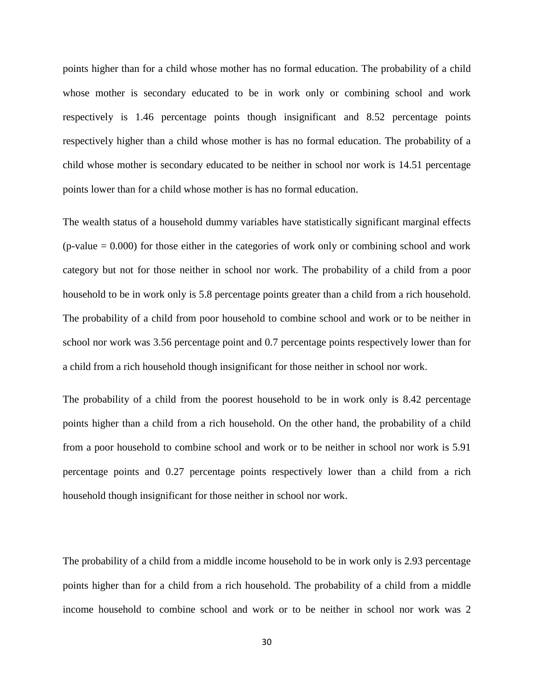points higher than for a child whose mother has no formal education. The probability of a child whose mother is secondary educated to be in work only or combining school and work respectively is 1.46 percentage points though insignificant and 8.52 percentage points respectively higher than a child whose mother is has no formal education. The probability of a child whose mother is secondary educated to be neither in school nor work is 14.51 percentage points lower than for a child whose mother is has no formal education.

The wealth status of a household dummy variables have statistically significant marginal effects  $(p-value = 0.000)$  for those either in the categories of work only or combining school and work category but not for those neither in school nor work. The probability of a child from a poor household to be in work only is 5.8 percentage points greater than a child from a rich household. The probability of a child from poor household to combine school and work or to be neither in school nor work was 3.56 percentage point and 0.7 percentage points respectively lower than for a child from a rich household though insignificant for those neither in school nor work.

The probability of a child from the poorest household to be in work only is 8.42 percentage points higher than a child from a rich household. On the other hand, the probability of a child from a poor household to combine school and work or to be neither in school nor work is 5.91 percentage points and 0.27 percentage points respectively lower than a child from a rich household though insignificant for those neither in school nor work.

The probability of a child from a middle income household to be in work only is 2.93 percentage points higher than for a child from a rich household. The probability of a child from a middle income household to combine school and work or to be neither in school nor work was 2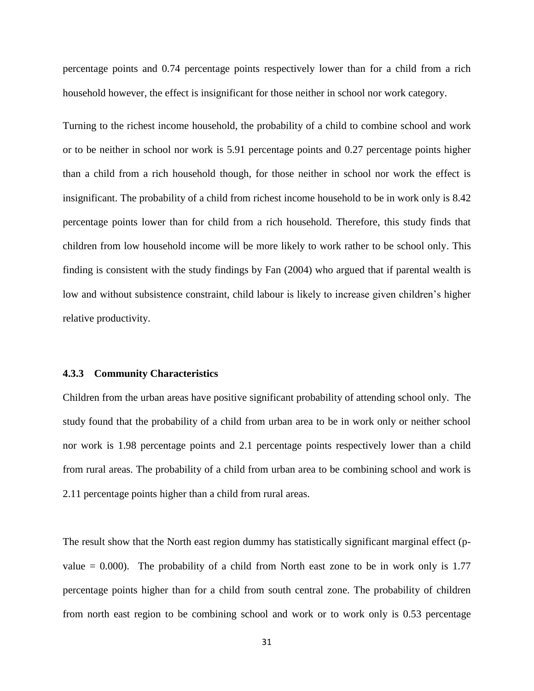percentage points and 0.74 percentage points respectively lower than for a child from a rich household however, the effect is insignificant for those neither in school nor work category.

Turning to the richest income household, the probability of a child to combine school and work or to be neither in school nor work is 5.91 percentage points and 0.27 percentage points higher than a child from a rich household though, for those neither in school nor work the effect is insignificant. The probability of a child from richest income household to be in work only is 8.42 percentage points lower than for child from a rich household. Therefore, this study finds that children from low household income will be more likely to work rather to be school only. This finding is consistent with the study findings by Fan (2004) who argued that if parental wealth is low and without subsistence constraint, child labour is likely to increase given children's higher relative productivity.

#### **4.3.3 Community Characteristics**

<span id="page-39-0"></span>Children from the urban areas have positive significant probability of attending school only. The study found that the probability of a child from urban area to be in work only or neither school nor work is 1.98 percentage points and 2.1 percentage points respectively lower than a child from rural areas. The probability of a child from urban area to be combining school and work is 2.11 percentage points higher than a child from rural areas.

The result show that the North east region dummy has statistically significant marginal effect (pvalue  $= 0.000$ ). The probability of a child from North east zone to be in work only is 1.77 percentage points higher than for a child from south central zone. The probability of children from north east region to be combining school and work or to work only is 0.53 percentage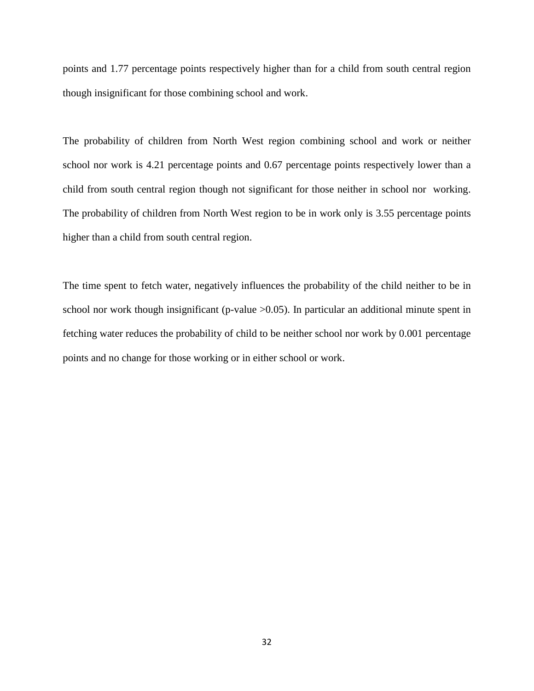points and 1.77 percentage points respectively higher than for a child from south central region though insignificant for those combining school and work.

The probability of children from North West region combining school and work or neither school nor work is 4.21 percentage points and 0.67 percentage points respectively lower than a child from south central region though not significant for those neither in school nor working. The probability of children from North West region to be in work only is 3.55 percentage points higher than a child from south central region.

The time spent to fetch water, negatively influences the probability of the child neither to be in school nor work though insignificant (p-value >0.05). In particular an additional minute spent in fetching water reduces the probability of child to be neither school nor work by 0.001 percentage points and no change for those working or in either school or work.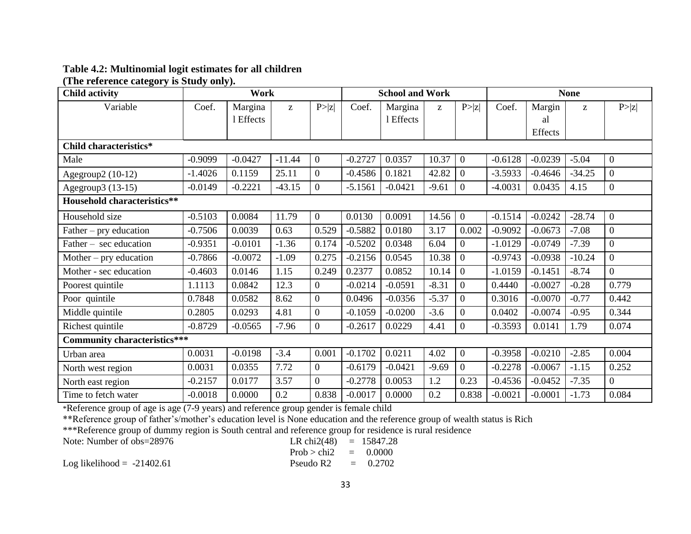# **Table 4.2: Multinomial logit estimates for all children**

**(The reference category is Study only).** 

| <b>Child activity</b>               | Work      |           |          |                | <b>School and Work</b> |           |                                                       |                | <b>None</b> |           |                                                       |                  |
|-------------------------------------|-----------|-----------|----------|----------------|------------------------|-----------|-------------------------------------------------------|----------------|-------------|-----------|-------------------------------------------------------|------------------|
| Variable                            | Coef.     | Margina   | Z        | P >  z         | Coef.                  | Margina   | $\mathbf{Z}% ^{T}=\mathbf{Z}^{T}\times\mathbf{Z}^{T}$ | P >  z         | Coef.       | Margin    | $\mathbf{Z}% ^{T}=\mathbf{Z}^{T}\times\mathbf{Z}^{T}$ | P >  z           |
|                                     |           | 1 Effects |          |                |                        | 1 Effects |                                                       |                |             | al        |                                                       |                  |
|                                     |           |           |          |                |                        |           |                                                       |                |             | Effects   |                                                       |                  |
| Child characteristics*              |           |           |          |                |                        |           |                                                       |                |             |           |                                                       |                  |
| Male                                | $-0.9099$ | $-0.0427$ | $-11.44$ | $\overline{0}$ | $-0.2727$              | 0.0357    | 10.37                                                 | $\overline{0}$ | $-0.6128$   | $-0.0239$ | $-5.04$                                               | $\mathbf{0}$     |
| Agegroup2 $(10-12)$                 | $-1.4026$ | 0.1159    | 25.11    | $\overline{0}$ | $-0.4586$              | 0.1821    | 42.82                                                 | $\overline{0}$ | $-3.5933$   | $-0.4646$ | $-34.25$                                              | $\boldsymbol{0}$ |
| Agegroup3 (13-15)                   | $-0.0149$ | $-0.2221$ | $-43.15$ | $\overline{0}$ | $-5.1561$              | $-0.0421$ | $-9.61$                                               | $\Omega$       | $-4.0031$   | 0.0435    | 4.15                                                  | $\mathbf{0}$     |
| <b>Household characteristics**</b>  |           |           |          |                |                        |           |                                                       |                |             |           |                                                       |                  |
| Household size                      | $-0.5103$ | 0.0084    | 11.79    | $\overline{0}$ | 0.0130                 | 0.0091    | 14.56                                                 | $\overline{0}$ | $-0.1514$   | $-0.0242$ | $-28.74$                                              | $\overline{0}$   |
| Father – pry education              | $-0.7506$ | 0.0039    | 0.63     | 0.529          | $-0.5882$              | 0.0180    | 3.17                                                  | 0.002          | $-0.9092$   | $-0.0673$ | $-7.08$                                               | $\boldsymbol{0}$ |
| Father – sec education              | $-0.9351$ | $-0.0101$ | $-1.36$  | 0.174          | $-0.5202$              | 0.0348    | 6.04                                                  | $\Omega$       | $-1.0129$   | $-0.0749$ | $-7.39$                                               | $\overline{0}$   |
| Mother $-$ pry education            | $-0.7866$ | $-0.0072$ | $-1.09$  | 0.275          | $-0.2156$              | 0.0545    | 10.38                                                 | $\overline{0}$ | $-0.9743$   | $-0.0938$ | $-10.24$                                              | $\overline{0}$   |
| Mother - sec education              | $-0.4603$ | 0.0146    | 1.15     | 0.249          | 0.2377                 | 0.0852    | 10.14                                                 | $\overline{0}$ | $-1.0159$   | $-0.1451$ | $-8.74$                                               | $\overline{0}$   |
| Poorest quintile                    | 1.1113    | 0.0842    | 12.3     | $\overline{0}$ | $-0.0214$              | $-0.0591$ | $-8.31$                                               | $\Omega$       | 0.4440      | $-0.0027$ | $-0.28$                                               | 0.779            |
| Poor quintile                       | 0.7848    | 0.0582    | 8.62     | $\mathbf{0}$   | 0.0496                 | $-0.0356$ | $-5.37$                                               | $\overline{0}$ | 0.3016      | $-0.0070$ | $-0.77$                                               | 0.442            |
| Middle quintile                     | 0.2805    | 0.0293    | 4.81     | $\overline{0}$ | $-0.1059$              | $-0.0200$ | $-3.6$                                                | $\Omega$       | 0.0402      | $-0.0074$ | $-0.95$                                               | 0.344            |
| Richest quintile                    | $-0.8729$ | $-0.0565$ | $-7.96$  | $\overline{0}$ | $-0.2617$              | 0.0229    | 4.41                                                  | $\Omega$       | $-0.3593$   | 0.0141    | 1.79                                                  | 0.074            |
| <b>Community characteristics***</b> |           |           |          |                |                        |           |                                                       |                |             |           |                                                       |                  |
| Urban area                          | 0.0031    | $-0.0198$ | $-3.4$   | 0.001          | $-0.1702$              | 0.0211    | 4.02                                                  | $\overline{0}$ | $-0.3958$   | $-0.0210$ | $-2.85$                                               | 0.004            |
| North west region                   | 0.0031    | 0.0355    | 7.72     | $\overline{0}$ | $-0.6179$              | $-0.0421$ | $-9.69$                                               | $\overline{0}$ | $-0.2278$   | $-0.0067$ | $-1.15$                                               | 0.252            |
| North east region                   | $-0.2157$ | 0.0177    | 3.57     | $\overline{0}$ | $-0.2778$              | 0.0053    | 1.2                                                   | 0.23           | $-0.4536$   | $-0.0452$ | $-7.35$                                               | $\overline{0}$   |
| Time to fetch water                 | $-0.0018$ | 0.0000    | 0.2      | 0.838          | $-0.0017$              | 0.0000    | 0.2                                                   | 0.838          | $-0.0021$   | $-0.0001$ | $-1.73$                                               | 0.084            |

<span id="page-41-0"></span>\*Reference group of age is age (7-9 years) and reference group gender is female child

\*\*Reference group of father's/mother's education level is None education and the reference group of wealth status is Rich

\*\*\*Reference group of dummy region is South central and reference group for residence is rural residence

Note: Number of  $obs = 28976$ 

Note: Number of obs=28976

\nLet 
$$
\text{Cov} = 15847.28
$$

\nLet  $\text{Cov} = 15847.28$ 

\nLet  $\text{Cov} = 15847.28$ 

\nLet  $\text{Cov} = 0.0000$ 

\nLet  $\text{Cov} = 0.0000$ 

\nLet  $\text{Cov} = 0.0000$ 

\nLet  $\text{Cov} = 0.0000$ 

\nLet  $\text{Cov} = 0.0000$ 

\nLet  $\text{Cov} = 0.0000$ 

\nLet  $\text{Cov} = 0.0000$ 

\nLet  $\text{Cov} = 0.0000$ 

\nLet  $\text{Cov} = 0.0000$ 

\nLet  $\text{Cov} = 0.0000$ 

\nLet  $\text{Cov} = 0.0000$ 

\nLet  $\text{Cov} = 0.0000$ 

\nLet  $\text{Cov} = 0.0000$ 

\nLet  $\text{Cov} = 0.0000$ 

\nLet  $\text{Cov} = 0.0000$ 

\nLet  $\text{Cov} = 0.0000$ 

\nLet  $\text{Cov} = 0.0000$ 

Log likelihood =  $-21402.61$  Pseudo R2 =  $0.2702$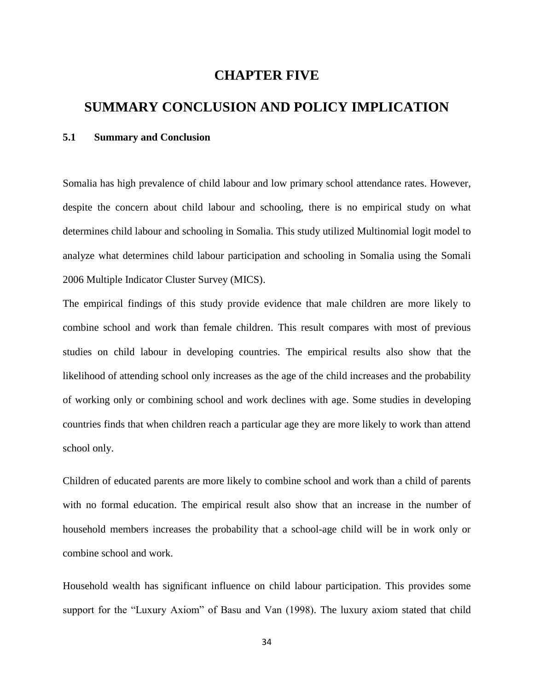## **CHAPTER FIVE**

# **SUMMARY CONCLUSION AND POLICY IMPLICATION**

#### <span id="page-42-1"></span><span id="page-42-0"></span>**5.1 Summary and Conclusion**

<span id="page-42-2"></span>Somalia has high prevalence of child labour and low primary school attendance rates. However, despite the concern about child labour and schooling, there is no empirical study on what determines child labour and schooling in Somalia. This study utilized Multinomial logit model to analyze what determines child labour participation and schooling in Somalia using the Somali 2006 Multiple Indicator Cluster Survey (MICS).

The empirical findings of this study provide evidence that male children are more likely to combine school and work than female children. This result compares with most of previous studies on child labour in developing countries. The empirical results also show that the likelihood of attending school only increases as the age of the child increases and the probability of working only or combining school and work declines with age. Some studies in developing countries finds that when children reach a particular age they are more likely to work than attend school only.

Children of educated parents are more likely to combine school and work than a child of parents with no formal education. The empirical result also show that an increase in the number of household members increases the probability that a school-age child will be in work only or combine school and work.

Household wealth has significant influence on child labour participation. This provides some support for the "Luxury Axiom" of Basu and Van (1998). The luxury axiom stated that child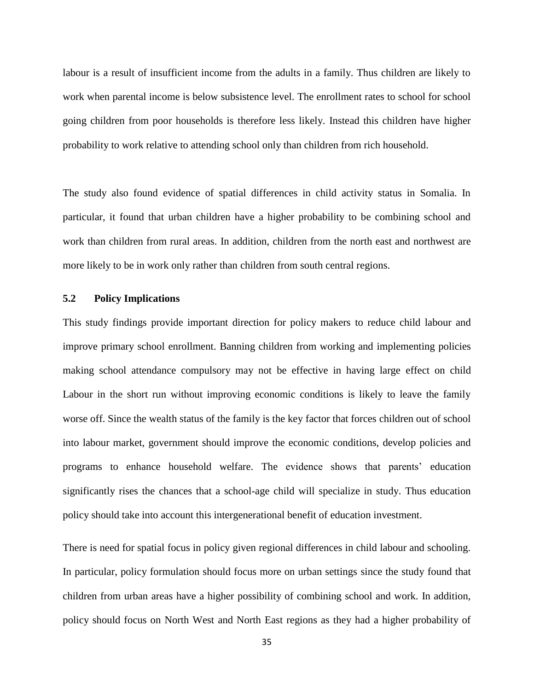labour is a result of insufficient income from the adults in a family. Thus children are likely to work when parental income is below subsistence level. The enrollment rates to school for school going children from poor households is therefore less likely. Instead this children have higher probability to work relative to attending school only than children from rich household.

The study also found evidence of spatial differences in child activity status in Somalia. In particular, it found that urban children have a higher probability to be combining school and work than children from rural areas. In addition, children from the north east and northwest are more likely to be in work only rather than children from south central regions.

#### **5.2 Policy Implications**

<span id="page-43-0"></span>This study findings provide important direction for policy makers to reduce child labour and improve primary school enrollment. Banning children from working and implementing policies making school attendance compulsory may not be effective in having large effect on child Labour in the short run without improving economic conditions is likely to leave the family worse off. Since the wealth status of the family is the key factor that forces children out of school into labour market, government should improve the economic conditions, develop policies and programs to enhance household welfare. The evidence shows that parents' education significantly rises the chances that a school-age child will specialize in study. Thus education policy should take into account this intergenerational benefit of education investment.

There is need for spatial focus in policy given regional differences in child labour and schooling. In particular, policy formulation should focus more on urban settings since the study found that children from urban areas have a higher possibility of combining school and work. In addition, policy should focus on North West and North East regions as they had a higher probability of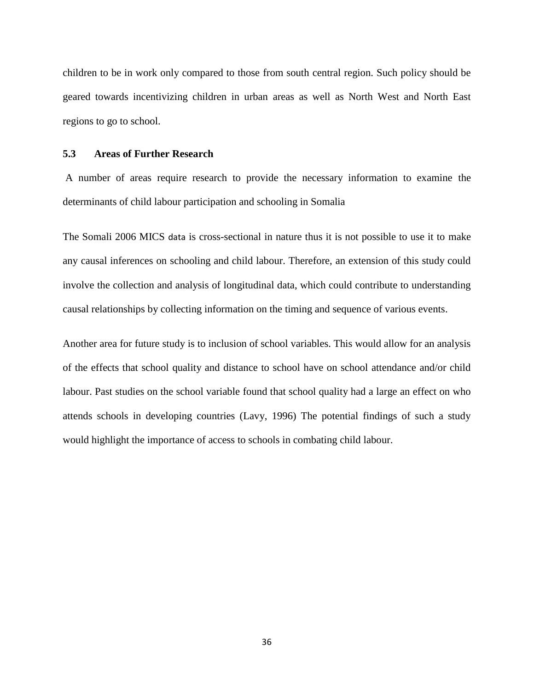children to be in work only compared to those from south central region. Such policy should be geared towards incentivizing children in urban areas as well as North West and North East regions to go to school.

#### **5.3 Areas of Further Research**

<span id="page-44-0"></span>A number of areas require research to provide the necessary information to examine the determinants of child labour participation and schooling in Somalia

The Somali 2006 MICS data is cross-sectional in nature thus it is not possible to use it to make any causal inferences on schooling and child labour. Therefore, an extension of this study could involve the collection and analysis of longitudinal data, which could contribute to understanding causal relationships by collecting information on the timing and sequence of various events.

Another area for future study is to inclusion of school variables. This would allow for an analysis of the effects that school quality and distance to school have on school attendance and/or child labour. Past studies on the school variable found that school quality had a large an effect on who attends schools in developing countries (Lavy, 1996) The potential findings of such a study would highlight the importance of access to schools in combating child labour.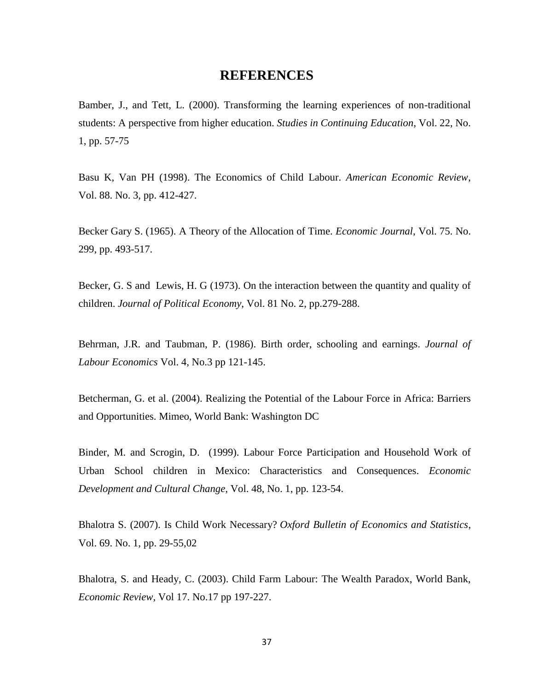## **REFERENCES**

<span id="page-45-0"></span>Bamber, J., and Tett, L. (2000). Transforming the learning experiences of non-traditional students: A perspective from higher education. *Studies in Continuing Education*, Vol. 22, No. 1, pp. 57-75

Basu K, Van PH (1998). The Economics of Child Labour. *American Economic Review*, Vol. 88. No. 3, pp. 412-427.

Becker Gary S. (1965). A Theory of the Allocation of Time. *Economic Journal*, Vol. 75. No. 299, pp. 493-517.

Becker, G. S and Lewis, H. G (1973). On the interaction between the quantity and quality of children. *Journal of Political Economy*, Vol. 81 No. 2, pp.279-288.

Behrman, J.R. and Taubman, P. (1986). Birth order, schooling and earnings. *Journal of Labour Economics* Vol. 4, No.3 pp 121-145.

Betcherman, G. et al. (2004). Realizing the Potential of the Labour Force in Africa: Barriers and Opportunities. Mimeo, World Bank: Washington DC

Binder, M. and Scrogin, D. (1999). Labour Force Participation and Household Work of Urban School children in Mexico: Characteristics and Consequences. *Economic Development and Cultural Change*, Vol. 48, No. 1, pp. 123-54.

Bhalotra S. (2007). Is Child [Work Necessary?](https://ideas.repec.org/a/bla/obuest/v69y2007i1p29-55.html) *[Oxford Bulletin of Economics and Statistics](https://ideas.repec.org/s/bla/obuest.html)*, Vol. 69. No. 1, pp. 29-55,02

Bhalotra, S. and Heady, C. (2003). Child Farm Labour: The Wealth Paradox, World Bank, *Economic Review*, Vol 17. No.17 pp 197-227.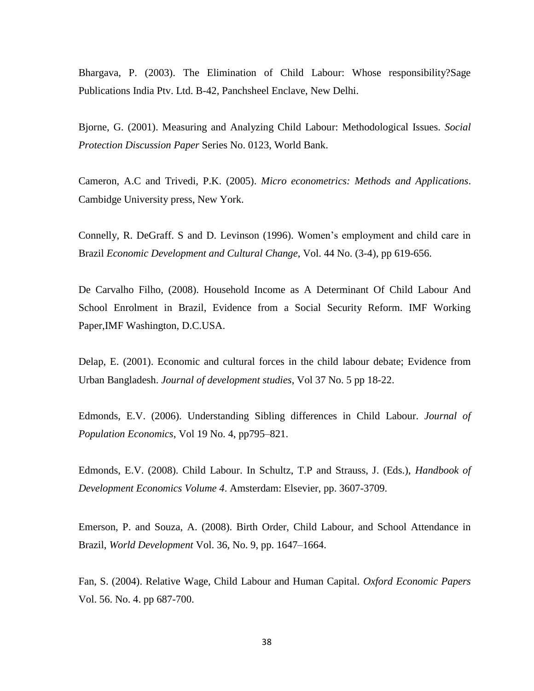Bhargava, P. (2003). The Elimination of Child Labour: Whose responsibility?Sage Publications India Ptv. Ltd. B-42, Panchsheel Enclave, New Delhi.

Bjorne, G. (2001). Measuring and Analyzing Child Labour: Methodological Issues. *Social Protection Discussion Paper* Series No. 0123, World Bank.

Cameron, A.C and Trivedi, P.K. (2005). *Micro econometrics: Methods and Applications*. Cambidge University press, New York.

Connelly, R. DeGraff. S and D. Levinson (1996). Women's employment and child care in Brazil *Economic Development and Cultural Change*, Vol. 44 No. (3-4), pp 619-656.

De Carvalho Filho, (2008). Household Income as A Determinant Of Child Labour And School Enrolment in Brazil, Evidence from a Social Security Reform. IMF Working Paper,IMF Washington, D.C.USA.

Delap, E. (2001). Economic and cultural forces in the child labour debate; Evidence from Urban Bangladesh. *Journal of development studies*, Vol 37 No. 5 pp 18-22.

Edmonds, E.V. (2006). Understanding Sibling differences in Child Labour. *Journal of Population Economics*, Vol 19 No. 4, pp795–821.

Edmonds, E.V. (2008). Child Labour. In Schultz, T.P and Strauss, J. (Eds.), *Handbook of Development Economics Volume 4*. Amsterdam: Elsevier, pp. 3607-3709.

Emerson, P. and Souza, A. (2008). Birth Order, Child Labour, and School Attendance in Brazil, *World Development* Vol. 36, No. 9, pp. 1647–1664.

Fan, S. (2004). Relative Wage, Child Labour and Human Capital. *Oxford Economic Papers* Vol. 56. No. 4. pp 687-700.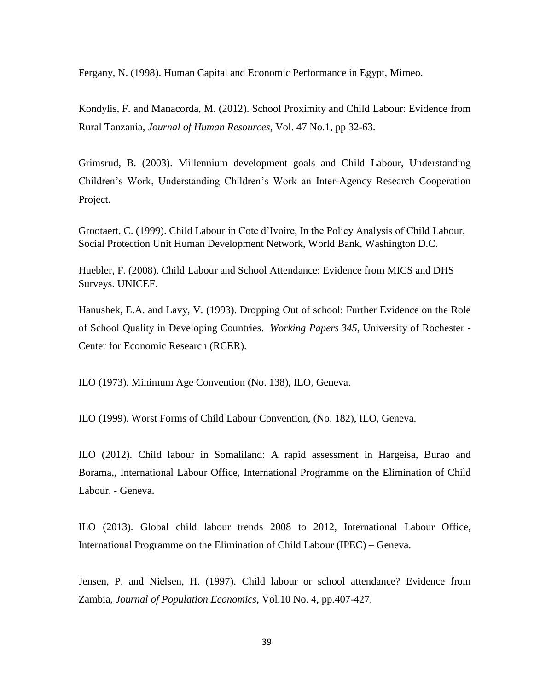Fergany, N. (1998). Human Capital and Economic Performance in Egypt, Mimeo.

Kondylis, F. and Manacorda, M. (2012). [School Proximity and Child Labour: Evidence from](http://ideas.repec.org/a/uwp/jhriss/v46y2012i1p32-63.html)  [Rural Tanzania,](http://ideas.repec.org/a/uwp/jhriss/v46y2012i1p32-63.html) *[Journal of Human Resources](http://ideas.repec.org/s/uwp/jhriss.html)*, Vol. 47 No.1, pp 32-63.

Grimsrud, B. (2003). Millennium development goals and Child Labour, Understanding Children's Work, Understanding Children's Work an Inter-Agency Research Cooperation Project.

Grootaert, C. (1999). Child Labour in Cote d'Ivoire, In the Policy Analysis of Child Labour, Social Protection Unit Human Development Network, World Bank, Washington D.C.

Huebler, F. (2008). Child Labour and School Attendance: Evidence from MICS and DHS Surveys. UNICEF.

Hanushek, E.A. and Lavy, V. (1993). [Dropping Out of school: Further Evidence on the Role](https://ideas.repec.org/p/roc/rocher/345.html)  [of School Quality in Developing Countries.](https://ideas.repec.org/p/roc/rocher/345.html) *[Working Papers](https://ideas.repec.org/s/roc/rocher.html) 345*, University of Rochester - Center for Economic Research (RCER).

ILO (1973). Minimum Age Convention (No. 138), ILO, Geneva.

ILO (1999). Worst Forms of Child Labour Convention, (No. 182), ILO, Geneva.

ILO (2012). Child labour in Somaliland: A rapid assessment in Hargeisa, Burao and Borama,, International Labour Office, International Programme on the Elimination of Child Labour. ‐ Geneva.

ILO (2013). Global child labour trends 2008 to 2012, International Labour Office, International Programme on the Elimination of Child Labour (IPEC) – Geneva.

Jensen, P. and Nielsen, H. (1997). Child labour or school attendance? Evidence from Zambia, *Journal of Population Economics*, Vol.10 No. 4, pp.407-427.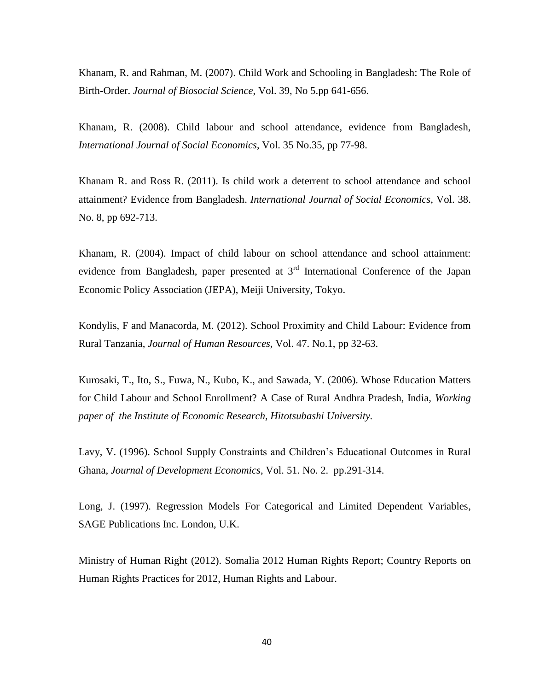Khanam, R. and Rahman, M. (2007). Child Work and Schooling in Bangladesh: The Role of Birth-Order. *Journal of Biosocial Science*, Vol. 39, No 5.pp 641-656.

Khanam, [R.](http://www.researchgate.net/profile/RASHEDA_KHANAM) (2008). Child labour and school attendance, evidence from Bangladesh, *[International Journal of Social Economics](http://www.researchgate.net/journal/0306-8293_International_Journal_of_Social_Economics)*, Vol. 35 No.35, pp 77-98.

Khanam R. and Ross R. (2011). [Is child work a deterrent to school attendance and school](https://ideas.repec.org/a/eme/ijsepp/v38y2011i8p692-713.html)  attainment? [Evidence from Bangladesh.](https://ideas.repec.org/a/eme/ijsepp/v38y2011i8p692-713.html) *[International Journal of Social Economics](https://ideas.repec.org/s/eme/ijsepp.html)*, Vol. 38. No. 8, pp 692-713.

Khanam, [R.](http://www.researchgate.net/profile/RASHEDA_KHANAM) (2004). Impact of child labour on school attendance and school attainment: evidence from Bangladesh, paper presented at 3<sup>rd</sup> International Conference of the Japan Economic Policy Association (JEPA), Meiji University, Tokyo.

Kondylis, F and Manacorda, M. (2012). [School Proximity and Child Labour: Evidence from](http://ideas.repec.org/a/uwp/jhriss/v46y2012i1p32-63.html)  [Rural Tanzania,](http://ideas.repec.org/a/uwp/jhriss/v46y2012i1p32-63.html) *[Journal of Human Resources](http://ideas.repec.org/s/uwp/jhriss.html)*, Vol. 47. No.1, pp 32-63.

Kurosaki, T., Ito, S., Fuwa, N., Kubo, K., and Sawada, Y. (2006). Whose Education Matters for Child Labour and School Enrollment? A Case of Rural Andhra Pradesh, India, *Working paper of the Institute of Economic Research, Hitotsubashi University.*

Lavy, V. (1996). School Supply Constraints and Children's Educational Outcomes in Rural Ghana, *Journal of Development Economics*, Vol. 51. No. 2. pp.291-314.

Long, J. (1997). Regression Models For Categorical and Limited Dependent Variables, SAGE Publications Inc. London, U.K.

Ministry of Human Right (2012). Somalia 2012 Human Rights Report; Country Reports on Human Rights Practices for 2012, Human Rights and Labour.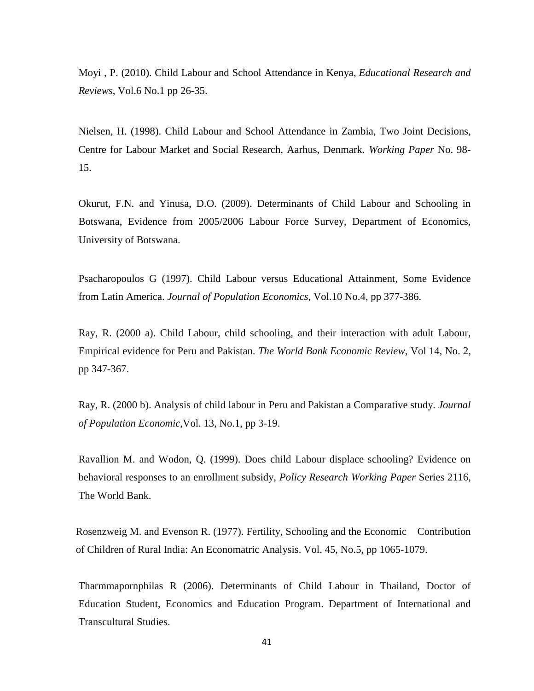Moyi , P. (2010). Child Labour and School Attendance in Kenya, *Educational Research and Reviews*, Vol.6 No.1 pp 26-35.

Nielsen, H. (1998). Child Labour and School Attendance in Zambia, Two Joint Decisions, Centre for Labour Market and Social Research, Aarhus, Denmark. *Working Paper* No. 98- 15.

Okurut, F.N. and Yinusa, D.O. (2009). Determinants of Child Labour and Schooling in Botswana, Evidence from 2005/2006 Labour Force Survey, Department of Economics, University of Botswana.

Psacharopoulos G (1997). Child Labour versus Educational Attainment, Some Evidence from Latin America. *Journal of Population Economics*, Vol.10 No.4, pp 377-386.

Ray, R. (2000 a). Child Labour, child schooling, and their interaction with adult Labour, Empirical evidence for Peru and Pakistan. *The World Bank Economic Review*, Vol 14, No. 2, pp 347-367.

Ray, R. (2000 b). Analysis of child labour in Peru and Pakistan a Comparative study. *Journal of Population Economic*,Vol. 13, No.1, pp 3-19.

Ravallion M. and Wodon, Q. (1999). Does child Labour displace schooling? Evidence on behavioral responses to an enrollment subsidy, *Policy Research Working Paper* Series 2116, The World Bank.

Rosenzweig M. and Evenson R. (1977). Fertility, Schooling and the Economic Contribution of Children of Rural India: An Economatric Analysis. Vol. 45, No.5, pp 1065-1079.

Tharmmapornphilas R (2006). Determinants of Child Labour in Thailand, Doctor of Education Student, Economics and Education Program. Department of International and Transcultural Studies.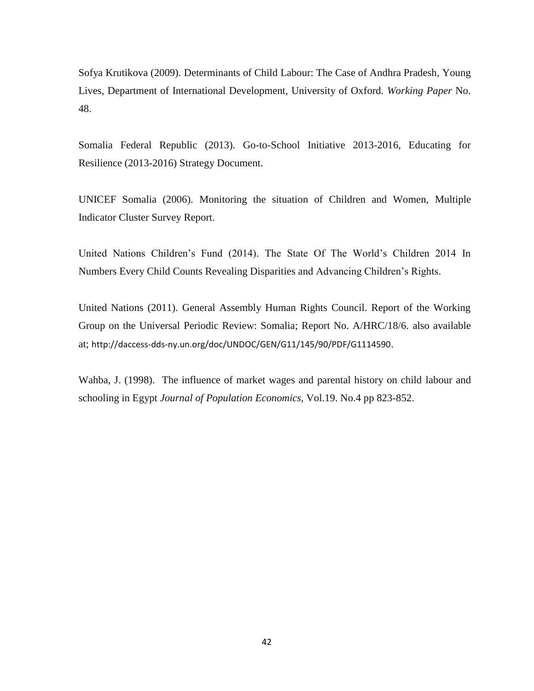Sofya Krutikova (2009). Determinants of Child Labour: The Case of Andhra Pradesh, Young Lives, Department of International Development, University of Oxford. *Working Paper* No. 48.

Somalia Federal Republic (2013). Go-to-School Initiative 2013-2016, Educating for Resilience (2013-2016) Strategy Document.

UNICEF Somalia (2006). Monitoring the situation of Children and Women, Multiple Indicator Cluster Survey Report.

United Nations Children's Fund (2014). The State Of The World's Children 2014 In Numbers Every Child Counts Revealing Disparities and Advancing Children's Rights.

United Nations (2011). General Assembly Human Rights Council. Report of the Working Group on the Universal Periodic Review: Somalia; Report No. A/HRC/18/6. also available at; <http://daccess-dds-ny.un.org/doc/UNDOC/GEN/G11/145/90/PDF/G1114590>.

Wahba, J. (1998). The influence of market wages and parental history on child labour and schooling in Egypt *[Journal of Population Economics,](http://link.springer.com/journal/148)* Vol.19. No.4 pp 823-852.